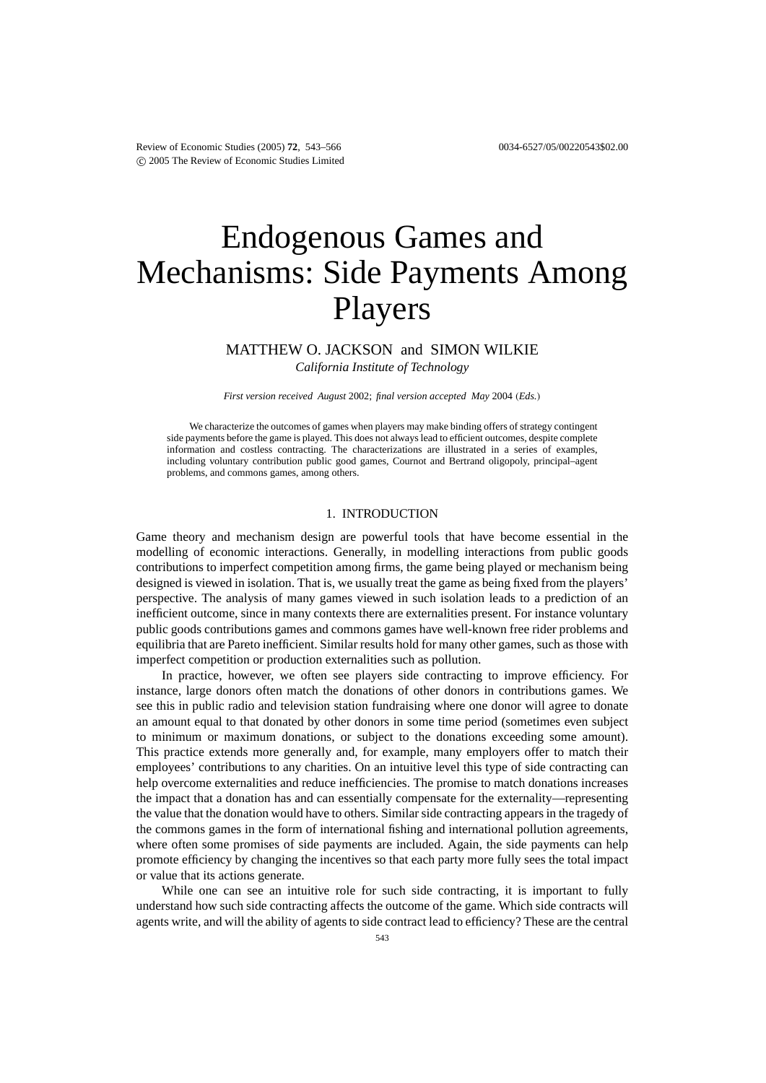# <span id="page-0-0"></span>Endogenous Games and Mechanisms: Side Payments Among Players

MATTHEW O. JACKSON and SIMON WILKIE *California Institute of Technology*

*First version received August* 2002; *final version accepted May* 2004 (*Eds.*)

We characterize the outcomes of games when players may make binding offers of strategy contingent side payments before the game is played. This does not always lead to efficient outcomes, despite complete information and costless contracting. The characterizations are illustrated in a series of examples, including voluntary contribution public good games, Cournot and Bertrand oligopoly, principal–agent problems, and commons games, among others.

## 1. INTRODUCTION

<span id="page-0-1"></span>Game theory and mechanism design are powerful tools that have become essential in the modelling of economic interactions. Generally, in modelling interactions from public goods contributions to imperfect competition among firms, the game being played or mechanism being designed is viewed in isolation. That is, we usually treat the game as being fixed from the players' perspective. The analysis of many games viewed in such isolation leads to a prediction of an inefficient outcome, since in many contexts there are externalities present. For instance voluntary public goods contributions games and commons games have well-known free rider problems and equilibria that are Pareto inefficient. Similar results hold for many other games, such as those with imperfect competition or production externalities such as pollution.

In practice, however, we often see players side contracting to improve efficiency. For instance, large donors often match the donations of other donors in contributions games. We see this in public radio and television station fundraising where one donor will agree to donate an amount equal to that donated by other donors in some time period (sometimes even subject to minimum or maximum donations, or subject to the donations exceeding some amount). This practice extends more generally and, for example, many employers offer to match their employees' contributions to any charities. On an intuitive level this type of side contracting can help overcome externalities and reduce inefficiencies. The promise to match donations increases the impact that a donation has and can essentially compensate for the externality—representing the value that the donation would have to others. Similar side contracting appears in the tragedy of the commons games in the form of international fishing and international pollution agreements, where often some promises of side payments are included. Again, the side payments can help promote efficiency by changing the incentives so that each party more fully sees the total impact or value that its actions generate.

While one can see an intuitive role for such side contracting, it is important to fully understand how such side contracting affects the outcome of the game. Which side contracts will agents write, and will the ability of agents to side contract lead to efficiency? These are the central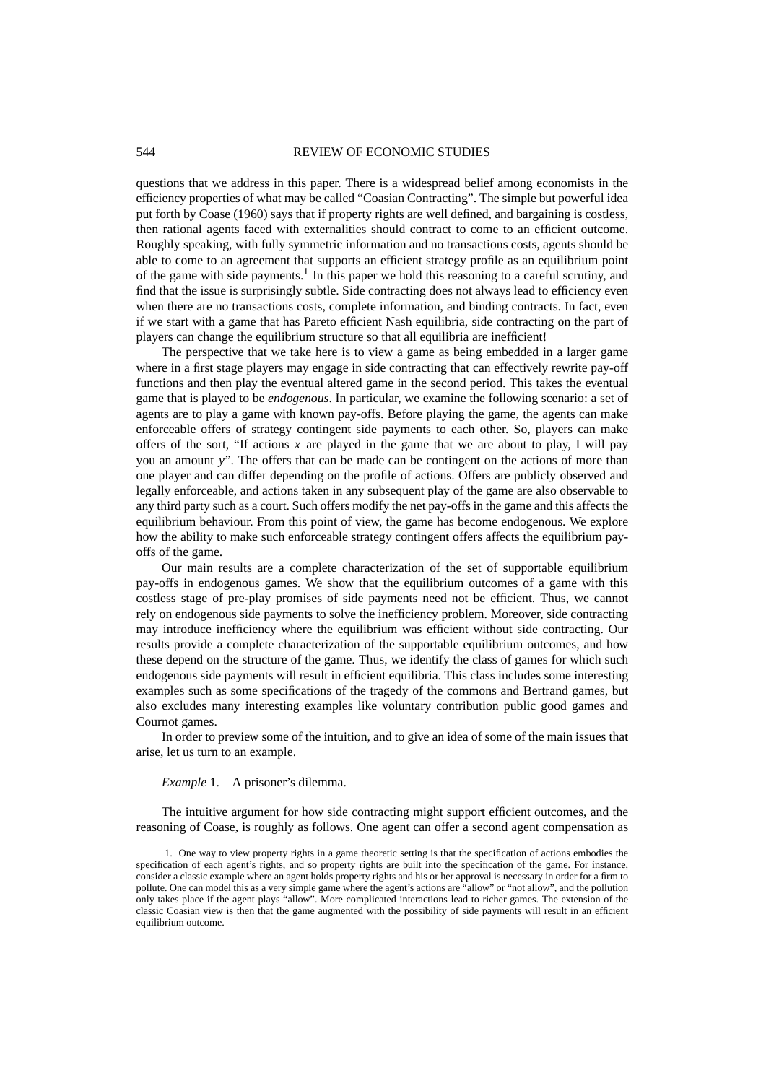questions that we address in this paper. There is a widespread belief among economists in the efficiency properties of what may be called "Coasian Contracting". The simple but powerful idea put forth by [Coase](#page-23-0) [\(1960\)](#page-23-0) says that if property rights are well defined, and bargaining is costless, then rational agents faced with externalities should contract to come to an efficient outcome. Roughly speaking, with fully symmetric information and no transactions costs, agents should be able to come to an agreement that supports an efficient strategy profile as an equilibrium point of the game with side payments.<sup>[1](#page-1-0)</sup> In this paper we hold this reasoning to a careful scrutiny, and find that the issue is surprisingly subtle. Side contracting does not always lead to efficiency even when there are no transactions costs, complete information, and binding contracts. In fact, even if we start with a game that has Pareto efficient Nash equilibria, side contracting on the part of players can change the equilibrium structure so that all equilibria are inefficient!

The perspective that we take here is to view a game as being embedded in a larger game where in a first stage players may engage in side contracting that can effectively rewrite pay-off functions and then play the eventual altered game in the second period. This takes the eventual game that is played to be *endogenous*. In particular, we examine the following scenario: a set of agents are to play a game with known pay-offs. Before playing the game, the agents can make enforceable offers of strategy contingent side payments to each other. So, players can make offers of the sort, "If actions  $x$  are played in the game that we are about to play, I will pay you an amount *y*". The offers that can be made can be contingent on the actions of more than one player and can differ depending on the profile of actions. Offers are publicly observed and legally enforceable, and actions taken in any subsequent play of the game are also observable to any third party such as a court. Such offers modify the net pay-offs in the game and this affects the equilibrium behaviour. From this point of view, the game has become endogenous. We explore how the ability to make such enforceable strategy contingent offers affects the equilibrium payoffs of the game.

Our main results are a complete characterization of the set of supportable equilibrium pay-offs in endogenous games. We show that the equilibrium outcomes of a game with this costless stage of pre-play promises of side payments need not be efficient. Thus, we cannot rely on endogenous side payments to solve the inefficiency problem. Moreover, side contracting may introduce inefficiency where the equilibrium was efficient without side contracting. Our results provide a complete characterization of the supportable equilibrium outcomes, and how these depend on the structure of the game. Thus, we identify the class of games for which such endogenous side payments will result in efficient equilibria. This class includes some interesting examples such as some specifications of the tragedy of the commons and Bertrand games, but also excludes many interesting examples like voluntary contribution public good games and Cournot games.

In order to preview some of the intuition, and to give an idea of some of the main issues that arise, let us turn to an example.

### *Example* 1. A prisoner's dilemma.

The intuitive argument for how side contracting might support efficient outcomes, and the reasoning of Coase, is roughly as follows. One agent can offer a second agent compensation as

<span id="page-1-0"></span><sup>1.</sup> One way to view property rights in a game theoretic setting is that the specification of actions embodies the specification of each agent's rights, and so property rights are built into the specification of the game. For instance, consider a classic example where an agent holds property rights and his or her approval is necessary in order for a firm to pollute. One can model this as a very simple game where the agent's actions are "allow" or "not allow", and the pollution only takes place if the agent plays "allow". More complicated interactions lead to richer games. The extension of the classic Coasian view is then that the game augmented with the possibility of side payments will result in an efficient equilibrium outcome.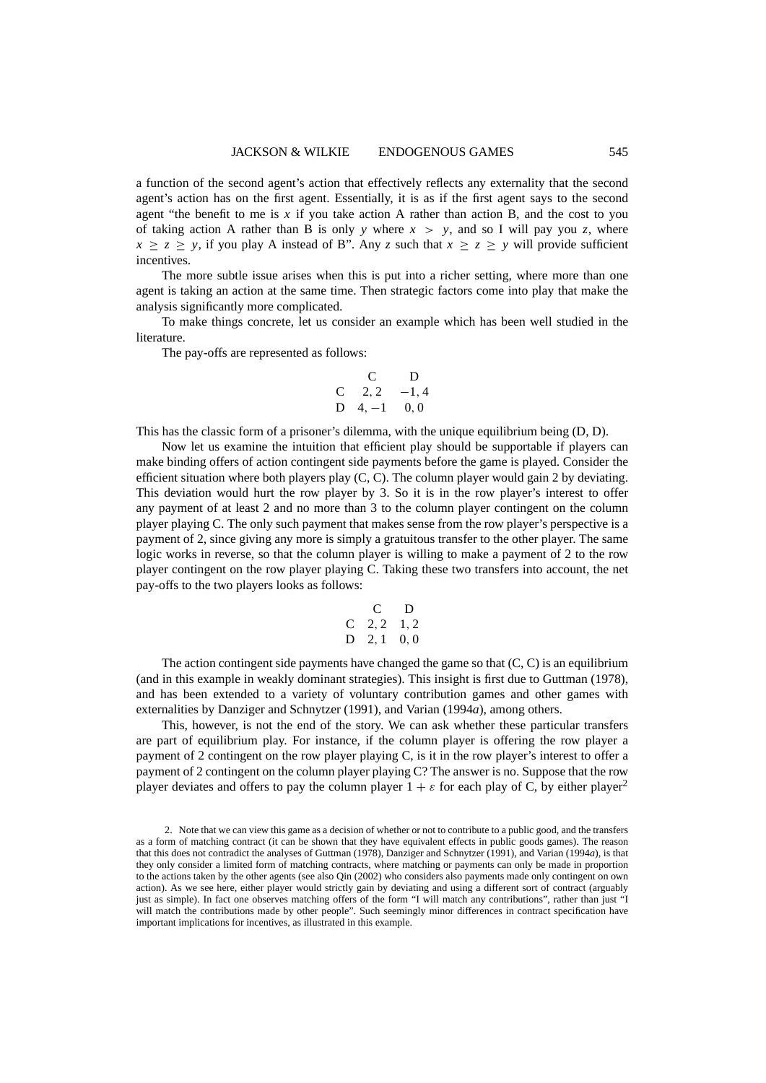a function of the second agent's action that effectively reflects any externality that the second agent's action has on the first agent. Essentially, it is as if the first agent says to the second agent "the benefit to me is  $x$  if you take action A rather than action B, and the cost to you of taking action A rather than B is only *y* where  $x > y$ , and so I will pay you *z*, where  $x \ge z \ge y$ , if you play A instead of B". Any *z* such that  $x \ge z \ge y$  will provide sufficient incentives.

The more subtle issue arises when this is put into a richer setting, where more than one agent is taking an action at the same time. Then strategic factors come into play that make the analysis significantly more complicated.

To make things concrete, let us consider an example which has been well studied in the literature.

The pay-offs are represented as follows:

$$
\begin{array}{cc}\n & C & D \\
C & 2,2 & -1,4 \\
D & 4, -1 & 0,0\n\end{array}
$$

This has the classic form of a prisoner's dilemma, with the unique equilibrium being (D, D).

Now let us examine the intuition that efficient play should be supportable if players can make binding offers of action contingent side payments before the game is played. Consider the efficient situation where both players play (C, C). The column player would gain 2 by deviating. This deviation would hurt the row player by 3. So it is in the row player's interest to offer any payment of at least 2 and no more than 3 to the column player contingent on the column player playing C. The only such payment that makes sense from the row player's perspective is a payment of 2, since giving any more is simply a gratuitous transfer to the other player. The same logic works in reverse, so that the column player is willing to make a payment of 2 to the row player contingent on the row player playing C. Taking these two transfers into account, the net pay-offs to the two players looks as follows:

$$
\begin{array}{cc}\n & C & D \\
C & 2, 2 & 1, 2 \\
D & 2, 1 & 0, 0\n\end{array}
$$

The action contingent side payments have changed the game so that  $(C, C)$  is an equilibrium (and in this example in weakly dominant strategies). This insight is first due to [Guttman](#page-23-1) [\(1978\)](#page-23-1), and has been extended to a variety of voluntary contribution games and other games with externalities by [Danziger and Schnytzer](#page-23-2) [\(1991\)](#page-23-2), and [Varian](#page-23-3) [\(1994](#page-23-3)*a*), among others.

This, however, is not the end of the story. We can ask whether these particular transfers are part of equilibrium play. For instance, if the column player is offering the row player a payment of 2 contingent on the row player playing C, is it in the row player's interest to offer a payment of 2 contingent on the column player playing C? The answer is no. Suppose that the row player deviates and offers to pay the column player  $1 + \varepsilon$  for each play of C, by either player<sup>[2](#page-2-0)</sup>

<span id="page-2-0"></span><sup>2.</sup> Note that we can view this game as a decision of whether or not to contribute to a public good, and the transfers as a form of matching contract (it can be shown that they have equivalent effects in public goods games). The reason that this does not contradict the analyses of [Guttman](#page-23-1) [\(1978\)](#page-23-1), [Danziger and Schnytzer](#page-23-2) [\(1991\)](#page-23-2), and [Varian](#page-23-3) [\(1994](#page-23-3)*a*), is that they only consider a limited form of matching contracts, where matching or payments can only be made in proportion to the actions taken by the other agents (see also [Qin](#page-23-4) [\(2002\)](#page-23-4) who considers also payments made only contingent on own action). As we see here, either player would strictly gain by deviating and using a different sort of contract (arguably just as simple). In fact one observes matching offers of the form "I will match any contributions", rather than just "I will match the contributions made by other people". Such seemingly minor differences in contract specification have important implications for incentives, as illustrated in this example.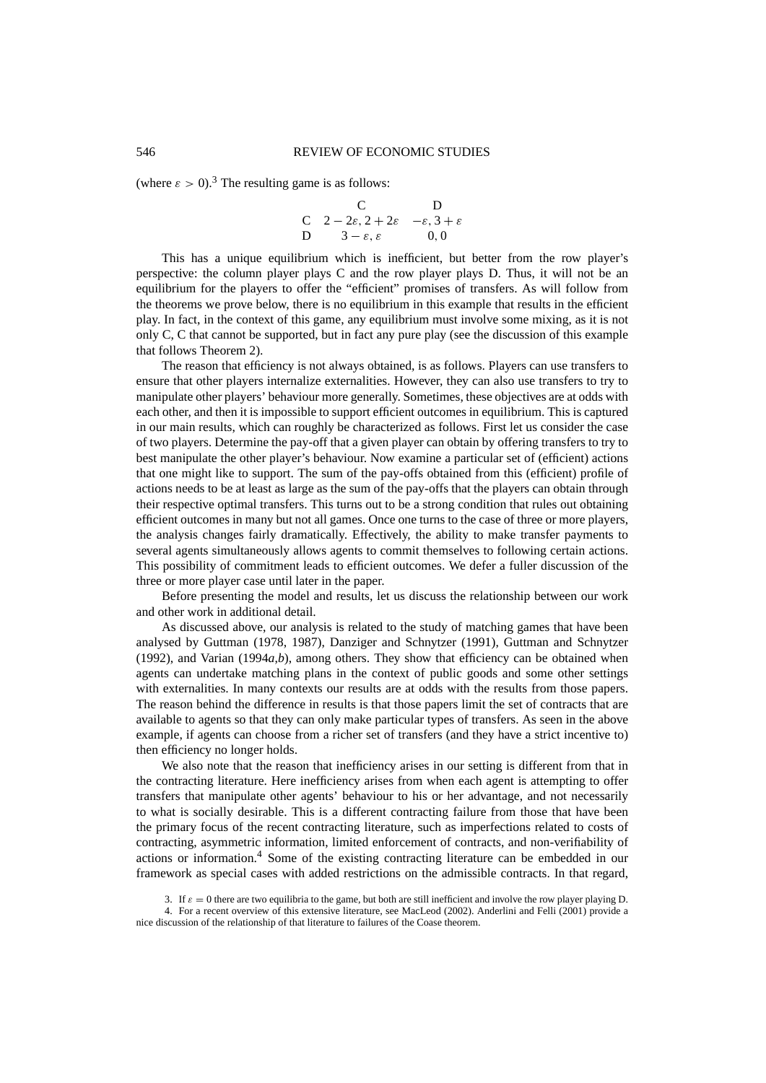(where  $\varepsilon > 0$ ).<sup>[3](#page-3-0)</sup> The resulting game is as follows:

C D  
C 
$$
2-2\varepsilon, 2+2\varepsilon -\varepsilon, 3+\varepsilon
$$
  
D  $3-\varepsilon, \varepsilon$  0,0

This has a unique equilibrium which is inefficient, but better from the row player's perspective: the column player plays C and the row player plays D. Thus, it will not be an equilibrium for the players to offer the "efficient" promises of transfers. As will follow from the theorems we prove below, there is no equilibrium in this example that results in the efficient play. In fact, in the context of this game, any equilibrium must involve some mixing, as it is not only C, C that cannot be supported, but in fact any pure play (see the discussion of this example that follows Theorem [2\)](#page-0-0).

The reason that efficiency is not always obtained, is as follows. Players can use transfers to ensure that other players internalize externalities. However, they can also use transfers to try to manipulate other players' behaviour more generally. Sometimes, these objectives are at odds with each other, and then it is impossible to support efficient outcomes in equilibrium. This is captured in our main results, which can roughly be characterized as follows. First let us consider the case of two players. Determine the pay-off that a given player can obtain by offering transfers to try to best manipulate the other player's behaviour. Now examine a particular set of (efficient) actions that one might like to support. The sum of the pay-offs obtained from this (efficient) profile of actions needs to be at least as large as the sum of the pay-offs that the players can obtain through their respective optimal transfers. This turns out to be a strong condition that rules out obtaining efficient outcomes in many but not all games. Once one turns to the case of three or more players, the analysis changes fairly dramatically. Effectively, the ability to make transfer payments to several agents simultaneously allows agents to commit themselves to following certain actions. This possibility of commitment leads to efficient outcomes. We defer a fuller discussion of the three or more player case until later in the paper.

Before presenting the model and results, let us discuss the relationship between our work and other work in additional detail.

As discussed above, our analysis is related to the study of matching games that have been analysed by [Guttman](#page-23-1) [\(1978,](#page-23-1) [1987\)](#page-23-5), [Danziger and Schnytzer](#page-23-2) [\(1991\)](#page-23-2), [Guttman and Schnytzer](#page-23-6) [\(1992\)](#page-23-6), and [Varian](#page-23-3) (1994*a*,*b*), among others. They show that efficiency can be obtained when agents can undertake matching plans in the context of public goods and some other settings with externalities. In many contexts our results are at odds with the results from those papers. The reason behind the difference in results is that those papers limit the set of contracts that are available to agents so that they can only make particular types of transfers. As seen in the above example, if agents can choose from a richer set of transfers (and they have a strict incentive to) then efficiency no longer holds.

We also note that the reason that inefficiency arises in our setting is different from that in the contracting literature. Here inefficiency arises from when each agent is attempting to offer transfers that manipulate other agents' behaviour to his or her advantage, and not necessarily to what is socially desirable. This is a different contracting failure from those that have been the primary focus of the recent contracting literature, such as imperfections related to costs of contracting, asymmetric information, limited enforcement of contracts, and non-verifiability of actions or information.[4](#page-3-1) Some of the existing contracting literature can be embedded in our framework as special cases with added restrictions on the admissible contracts. In that regard,

<span id="page-3-1"></span><span id="page-3-0"></span><sup>3.</sup> If  $\varepsilon = 0$  there are two equilibria to the game, but both are still inefficient and involve the row player playing D.

<sup>4.</sup> For a recent overview of this extensive literature, see [MacLeod](#page-23-7) [\(2002\)](#page-23-7). [Anderlini and Felli](#page-22-1) [\(2001\)](#page-22-1) provide a nice discussion of the relationship of that literature to failures of the Coase theorem.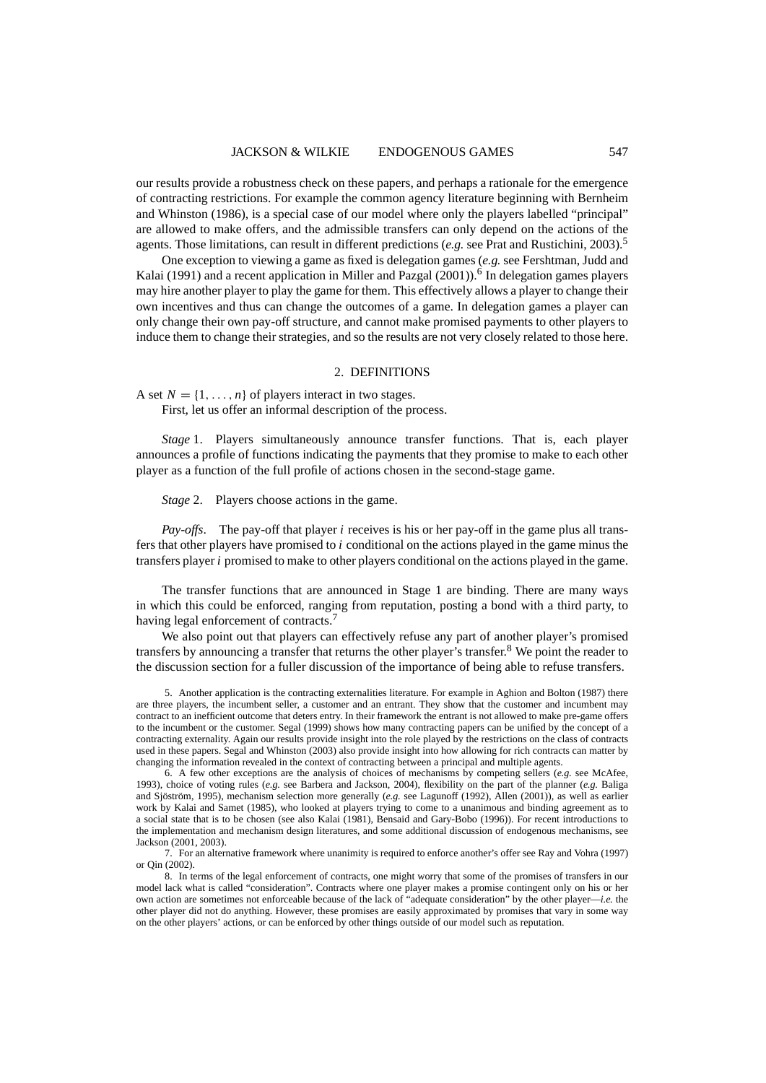our results provide a robustness check on these papers, and perhaps a rationale for the emergence of contracting restrictions. For example the common agency literature beginning with [Bernheim](#page-23-8) [and Whinston](#page-23-8) [\(1986\)](#page-23-8), is a special case of our model where only the players labelled "principal" are allowed to make offers, and the admissible transfers can only depend on the actions of the agents. Those limitations, can result in different predictions (*e.g.* see [Prat and Rustichini,](#page-23-9) [2003\)](#page-23-9).[5](#page-4-0)

One exception to viewing a game as fixed is delegation games (*e.g.* see [Fershtman, Judd and](#page-23-10) [Kalai](#page-23-10) [\(1991\)](#page-23-10) and a recent application in [Miller and Pazgal](#page-23-11) [\(2001\)](#page-23-11)).<sup>[6](#page-4-1)</sup> In delegation games players may hire another player to play the game for them. This effectively allows a player to change their own incentives and thus can change the outcomes of a game. In delegation games a player can only change their own pay-off structure, and cannot make promised payments to other players to induce them to change their strategies, and so the results are not very closely related to those here.

#### 2. DEFINITIONS

A set  $N = \{1, \ldots, n\}$  of players interact in two stages.

First, let us offer an informal description of the process.

*Stage* 1. Players simultaneously announce transfer functions. That is, each player announces a profile of functions indicating the payments that they promise to make to each other player as a function of the full profile of actions chosen in the second-stage game.

*Stage* 2. Players choose actions in the game.

*Pay-offs*. The pay-off that player *i* receives is his or her pay-off in the game plus all transfers that other players have promised to *i* conditional on the actions played in the game minus the transfers player *i* promised to make to other players conditional on the actions played in the game.

The transfer functions that are announced in Stage [1](#page-0-0) are binding. There are many ways in which this could be enforced, ranging from reputation, posting a bond with a third party, to having legal enforcement of contracts.<sup>[7](#page-4-2)</sup>

We also point out that players can effectively refuse any part of another player's promised transfers by announcing a transfer that returns the other player's transfer.[8](#page-4-3) We point the reader to the discussion section for a fuller discussion of the importance of being able to refuse transfers.

<span id="page-4-0"></span><sup>5.</sup> Another application is the contracting externalities literature. For example in [Aghion and Bolton](#page-22-2) [\(1987\)](#page-22-2) there are three players, the incumbent seller, a customer and an entrant. They show that the customer and incumbent may contract to an inefficient outcome that deters entry. In their framework the entrant is not allowed to make pre-game offers to the incumbent or the customer. [Segal](#page-23-12) [\(1999\)](#page-23-12) shows how many contracting papers can be unified by the concept of a contracting externality. Again our results provide insight into the role played by the restrictions on the class of contracts used in these papers. [Segal and Whinston](#page-23-13) [\(2003\)](#page-23-13) also provide insight into how allowing for rich contracts can matter by changing the information revealed in the context of contracting between a principal and multiple agents.

<span id="page-4-1"></span><sup>6.</sup> A few other exceptions are the analysis of choices of mechanisms by competing sellers (*e.g.* see [McAfee,](#page-23-14) [1993\)](#page-23-14), choice of voting rules (*e.g.* see [Barbera and Jackson,](#page-23-15) [2004\)](#page-23-15), flexibility on the part of the planner (*e.g.* [Baliga](#page-23-16) and Sjöström, [1995\)](#page-23-16), mechanism selection more generally (*e.g.* see [Lagunoff](#page-23-17) [\(1992\)](#page-23-17), [Allen](#page-22-3) [\(2001\)](#page-22-3)), as well as earlier work by [Kalai and Samet](#page-23-18) [\(1985\)](#page-23-18), who looked at players trying to come to a unanimous and binding agreement as to a social state that is to be chosen (see also [Kalai](#page-23-19) [\(1981\)](#page-23-19), [Bensaid and Gary-Bobo](#page-23-20) [\(1996\)](#page-23-20)). For recent introductions to the implementation and mechanism design literatures, and some additional discussion of endogenous mechanisms, see [Jackson](#page-23-21) [\(2001,](#page-23-21) [2003\)](#page-23-22).

<span id="page-4-2"></span><sup>7.</sup> For an alternative framework where unanimity is required to enforce another's offer see [Ray and Vohra](#page-23-23) [\(1997\)](#page-23-23) or [Qin](#page-23-4) [\(2002\)](#page-23-4).

<span id="page-4-3"></span><sup>8.</sup> In terms of the legal enforcement of contracts, one might worry that some of the promises of transfers in our model lack what is called "consideration". Contracts where one player makes a promise contingent only on his or her own action are sometimes not enforceable because of the lack of "adequate consideration" by the other player—*i.e.* the other player did not do anything. However, these promises are easily approximated by promises that vary in some way on the other players' actions, or can be enforced by other things outside of our model such as reputation.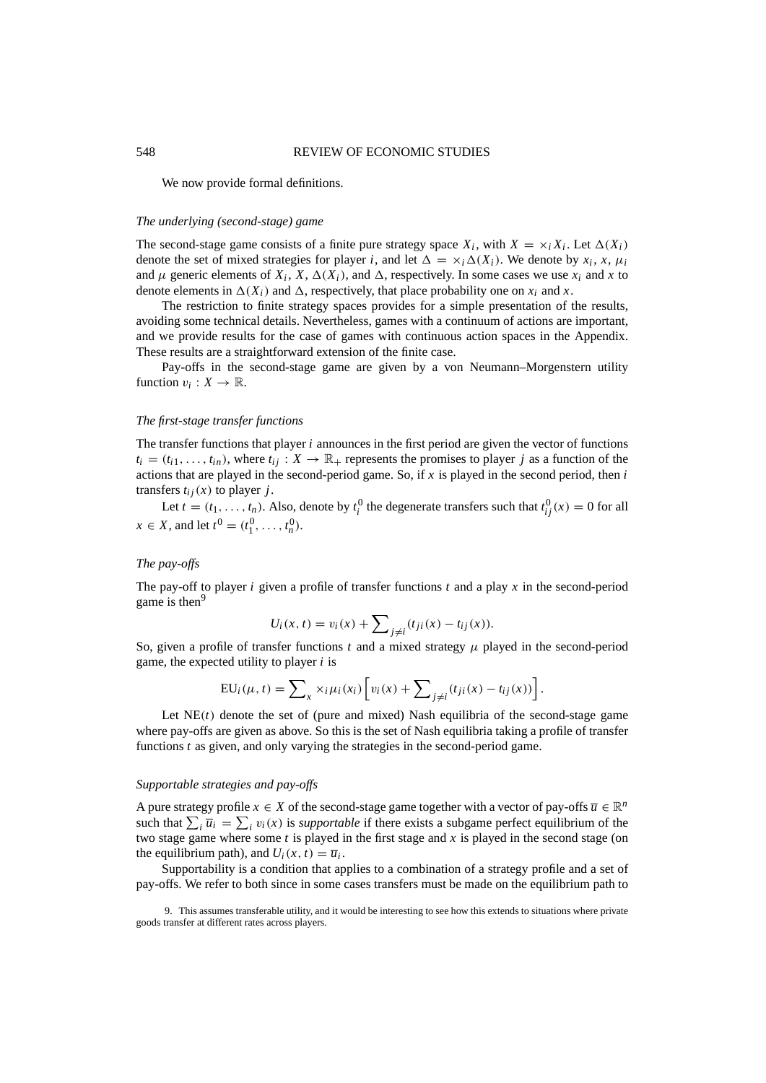We now provide formal definitions.

#### *The underlying (second-stage) game*

The second-stage game consists of a finite pure strategy space  $X_i$ , with  $X = \times_i X_i$ . Let  $\Delta(X_i)$ denote the set of mixed strategies for player *i*, and let  $\Delta = \times_i \Delta(X_i)$ . We denote by  $x_i$ ,  $x$ ,  $\mu_i$ and  $\mu$  generic elements of  $X_i$ ,  $X$ ,  $\Delta(X_i)$ , and  $\Delta$ , respectively. In some cases we use  $x_i$  and  $x$  to denote elements in  $\Delta(X_i)$  and  $\Delta$ , respectively, that place probability one on  $x_i$  and  $x_i$ .

The restriction to finite strategy spaces provides for a simple presentation of the results, avoiding some technical details. Nevertheless, games with a continuum of actions are important, and we provide results for the case of games with continuous action spaces in the Appendix. These results are a straightforward extension of the finite case.

Pay-offs in the second-stage game are given by a von Neumann–Morgenstern utility function  $v_i: X \to \mathbb{R}$ .

## *The first-stage transfer functions*

The transfer functions that player *i* announces in the first period are given the vector of functions  $t_i = (t_{i1}, \ldots, t_{in})$ , where  $t_{i}$   $: X \to \mathbb{R}_+$  represents the promises to player *j* as a function of the actions that are played in the second-period game. So, if *x* is played in the second period, then *i* transfers  $t_{ij}(x)$  to player *j*.

Let  $t = (t_1, \ldots, t_n)$ . Also, denote by  $t_i^0$  the degenerate transfers such that  $t_{ij}^0(x) = 0$  for all  $x \in X$ , and let  $t^0 = (t_1^0, \ldots, t_n^0)$ .

# *The pay-offs*

The pay-off to player *i* given a profile of transfer functions *t* and a play *x* in the second-period game is then<sup>[9](#page-5-0)</sup>

$$
U_i(x, t) = v_i(x) + \sum_{j \neq i} (t_{ji}(x) - t_{ij}(x)).
$$

So, given a profile of transfer functions  $t$  and a mixed strategy  $\mu$  played in the second-period game, the expected utility to player *i* is

$$
EU_i(\mu, t) = \sum_x \times_i \mu_i(x_i) \left[ v_i(x) + \sum_{j \neq i} (t_{ji}(x) - t_{ij}(x)) \right].
$$

Let  $NE(t)$  denote the set of (pure and mixed) Nash equilibria of the second-stage game where pay-offs are given as above. So this is the set of Nash equilibria taking a profile of transfer functions *t* as given, and only varying the strategies in the second-period game.

#### *Supportable strategies and pay-offs*

A pure strategy profile  $x \in X$  of the second-stage game together with a vector of pay-offs  $\overline{u} \in \mathbb{R}^n$ such that  $\sum_i \overline{u}_i = \sum_i v_i(x)$  is *supportable* if there exists a subgame perfect equilibrium of the two stage game where some *t* is played in the first stage and *x* is played in the second stage (on the equilibrium path), and  $U_i(x, t) = \overline{u}_i$ .

Supportability is a condition that applies to a combination of a strategy profile and a set of pay-offs. We refer to both since in some cases transfers must be made on the equilibrium path to

<span id="page-5-0"></span><sup>9.</sup> This assumes transferable utility, and it would be interesting to see how this extends to situations where private goods transfer at different rates across players.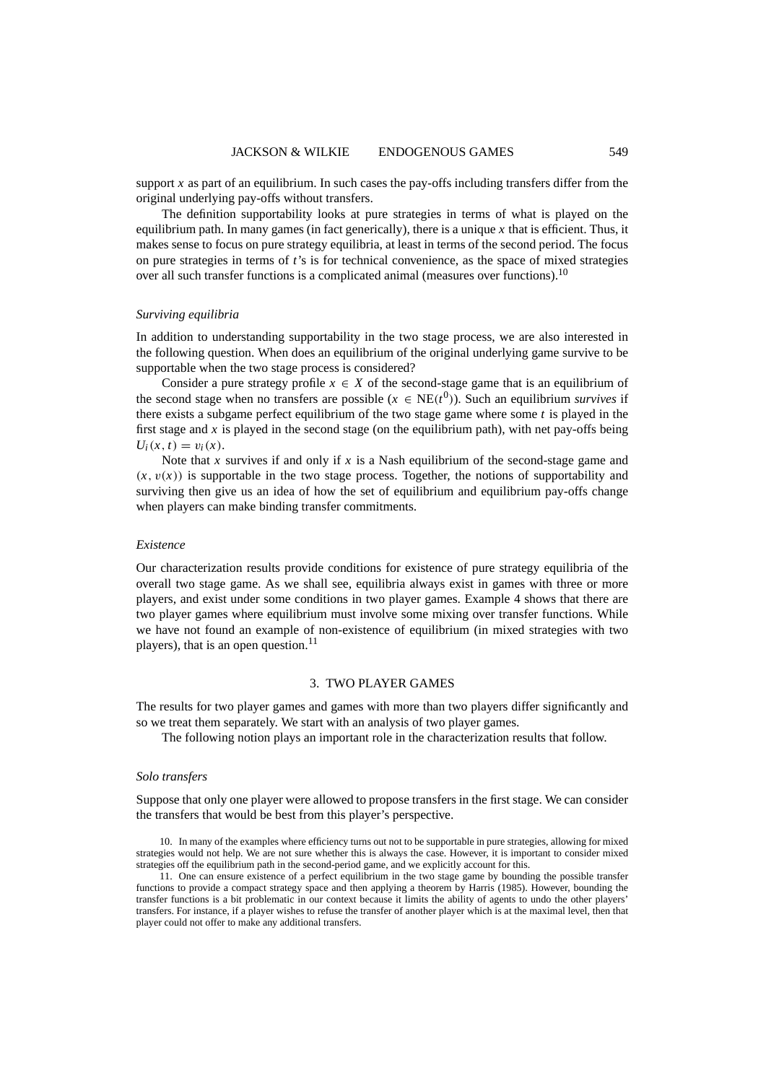support  $x$  as part of an equilibrium. In such cases the pay-offs including transfers differ from the original underlying pay-offs without transfers.

The definition supportability looks at pure strategies in terms of what is played on the equilibrium path. In many games (in fact generically), there is a unique *x* that is efficient. Thus, it makes sense to focus on pure strategy equilibria, at least in terms of the second period. The focus on pure strategies in terms of *t*'s is for technical convenience, as the space of mixed strategies over all such transfer functions is a complicated animal (measures over functions).<sup>[10](#page-6-0)</sup>

#### *Surviving equilibria*

In addition to understanding supportability in the two stage process, we are also interested in the following question. When does an equilibrium of the original underlying game survive to be supportable when the two stage process is considered?

Consider a pure strategy profile  $x \in X$  of the second-stage game that is an equilibrium of the second stage when no transfers are possible ( $x \in NE(t^0)$ ). Such an equilibrium *survives* if there exists a subgame perfect equilibrium of the two stage game where some *t* is played in the first stage and  $x$  is played in the second stage (on the equilibrium path), with net pay-offs being  $U_i(x, t) = v_i(x)$ .

Note that *x* survives if and only if *x* is a Nash equilibrium of the second-stage game and  $(x, v(x))$  is supportable in the two stage process. Together, the notions of supportability and surviving then give us an idea of how the set of equilibrium and equilibrium pay-offs change when players can make binding transfer commitments.

## *Existence*

Our characterization results provide conditions for existence of pure strategy equilibria of the overall two stage game. As we shall see, equilibria always exist in games with three or more players, and exist under some conditions in two player games. Example [4](#page-0-0) shows that there are two player games where equilibrium must involve some mixing over transfer functions. While we have not found an example of non-existence of equilibrium (in mixed strategies with two players), that is an open question.<sup>[11](#page-6-1)</sup>

## 3. TWO PLAYER GAMES

The results for two player games and games with more than two players differ significantly and so we treat them separately. We start with an analysis of two player games.

The following notion plays an important role in the characterization results that follow.

#### *Solo transfers*

Suppose that only one player were allowed to propose transfers in the first stage. We can consider the transfers that would be best from this player's perspective.

<span id="page-6-0"></span><sup>10.</sup> In many of the examples where efficiency turns out not to be supportable in pure strategies, allowing for mixed strategies would not help. We are not sure whether this is always the case. However, it is important to consider mixed strategies off the equilibrium path in the second-period game, and we explicitly account for this.

<span id="page-6-1"></span><sup>11.</sup> One can ensure existence of a perfect equilibrium in the two stage game by bounding the possible transfer functions to provide a compact strategy space and then applying a theorem by [Harris](#page-23-24) [\(1985\)](#page-23-24). However, bounding the transfer functions is a bit problematic in our context because it limits the ability of agents to undo the other players' transfers. For instance, if a player wishes to refuse the transfer of another player which is at the maximal level, then that player could not offer to make any additional transfers.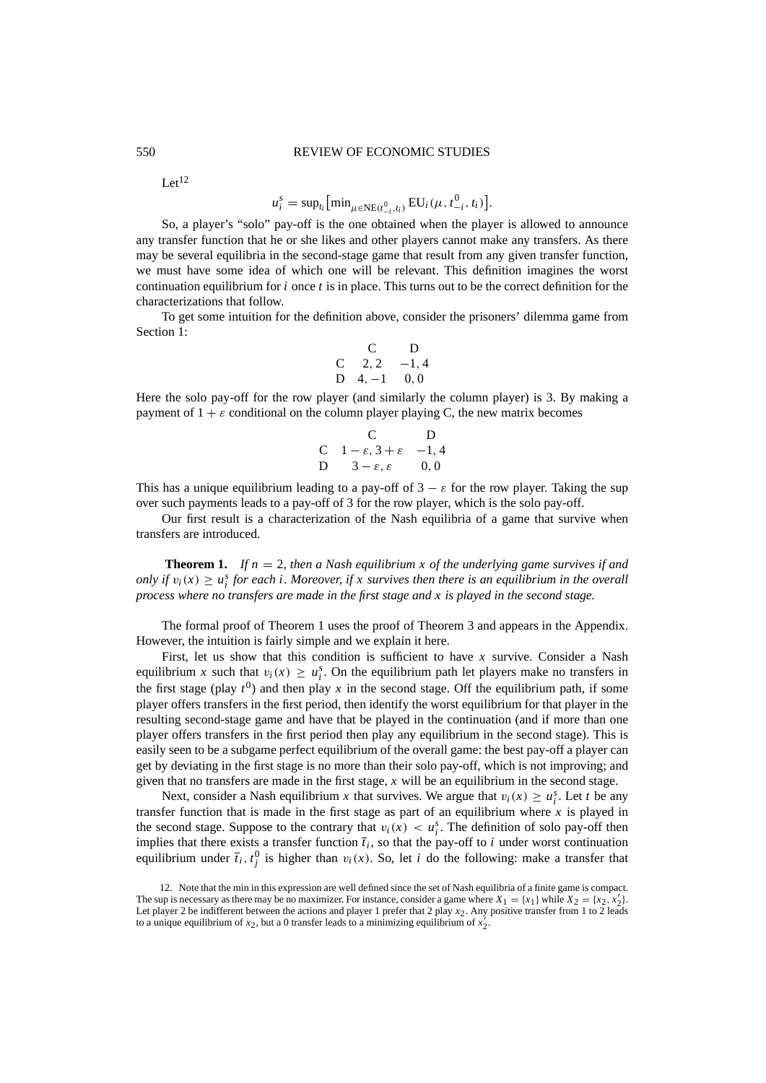$Let<sup>12</sup>$  $Let<sup>12</sup>$  $Let<sup>12</sup>$ 

$$
u_i^s = \sup_{t_i} \left[ \min_{\mu \in \text{NE}(t_{-i}^0, t_i)} \text{EU}_i(\mu, t_{-i}^0, t_i) \right].
$$

So, a player's "solo" pay-off is the one obtained when the player is allowed to announce any transfer function that he or she likes and other players cannot make any transfers. As there may be several equilibria in the second-stage game that result from any given transfer function, we must have some idea of which one will be relevant. This definition imagines the worst continuation equilibrium for *i* once *t* is in place. This turns out to be the correct definition for the characterizations that follow.

To get some intuition for the definition above, consider the prisoners' dilemma game from [Section](#page-0-1) [1:](#page-0-1)

$$
\begin{array}{cc}\n & C & D \\
C & 2, 2 & -1, 4 \\
D & 4, -1 & 0, 0\n\end{array}
$$

Here the solo pay-off for the row player (and similarly the column player) is 3. By making a payment of  $1 + \varepsilon$  conditional on the column player playing C, the new matrix becomes

$$
\begin{array}{ccc}\n & C & D \\
C & 1-\varepsilon, 3+\varepsilon & -1, 4 \\
D & 3-\varepsilon, \varepsilon & 0, 0\n\end{array}
$$

This has a unique equilibrium leading to a pay-off of  $3 - \varepsilon$  for the row player. Taking the sup over such payments leads to a pay-off of 3 for the row player, which is the solo pay-off.

Our first result is a characterization of the Nash equilibria of a game that survive when transfers are introduced.

**Theorem 1.** *If n* = 2*, then a Nash equilibrium x of the underlying game survives if and only if*  $v_i(x) \ge u_i^s$  *for each i. Moreover, if* x survives then there is an equilibrium in the overall *process where no transfers are made in the first stage and x is played in the second stage.*

The formal proof of Theorem [1](#page-0-0) uses the proof of Theorem [3](#page-0-0) and appears in the Appendix. However, the intuition is fairly simple and we explain it here.

First, let us show that this condition is sufficient to have *x* survive. Consider a Nash equilibrium *x* such that  $v_i(x) \ge u_i^s$ . On the equilibrium path let players make no transfers in the first stage (play  $t^0$ ) and then play x in the second stage. Off the equilibrium path, if some player offers transfers in the first period, then identify the worst equilibrium for that player in the resulting second-stage game and have that be played in the continuation (and if more than one player offers transfers in the first period then play any equilibrium in the second stage). This is easily seen to be a subgame perfect equilibrium of the overall game: the best pay-off a player can get by deviating in the first stage is no more than their solo pay-off, which is not improving; and given that no transfers are made in the first stage, *x* will be an equilibrium in the second stage.

Next, consider a Nash equilibrium *x* that survives. We argue that  $v_i(x) \ge u_i^s$ . Let *t* be any transfer function that is made in the first stage as part of an equilibrium where  $x$  is played in the second stage. Suppose to the contrary that  $v_i(x) < u_i^s$ . The definition of solo pay-off then implies that there exists a transfer function  $\bar{t}_i$ , so that the pay-off to *i* under worst continuation equilibrium under  $\bar{t}_i$ ,  $t_j^0$  is higher than  $v_i(x)$ . So, let *i* do the following: make a transfer that

<span id="page-7-0"></span><sup>12.</sup> Note that the min in this expression are well defined since the set of Nash equilibria of a finite game is compact. The sup is necessary as there may be no maximizer. For instance, consider a game where  $X_1 = \{x_1\}$  while  $X_2 = \{x_2, x_2'\}$ . Let player 2 be indifferent between the actions and player 1 prefer that 2 play *x*2. Any positive transfer from 1 to 2 leads to a unique equilibrium of  $x_2$ , but a 0 transfer leads to a minimizing equilibrium of  $x'_2$ .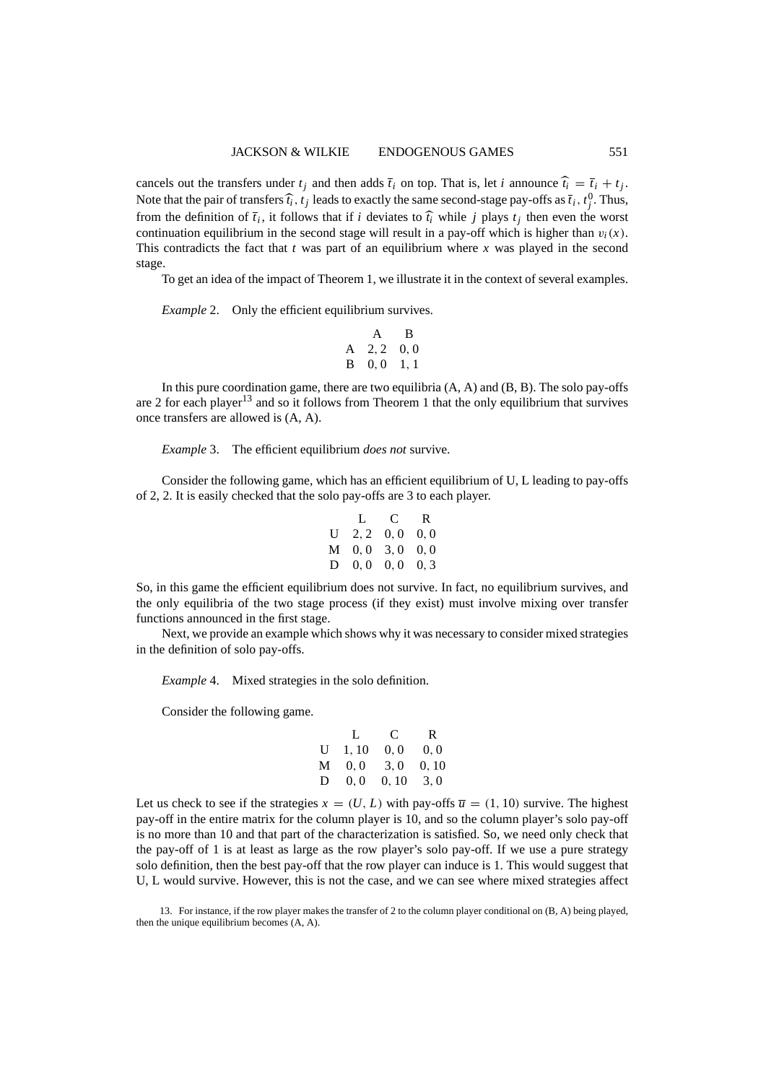cancels out the transfers under  $t_j$  and then adds  $\bar{t}_i$  on top. That is, let *i* announce  $\hat{t}_i = \bar{t}_i + t_j$ . Note that the pair of transfers  $\hat{t}_i$ ,  $t_j$  leads to exactly the same second-stage pay-offs as  $\bar{t}_i$ ,  $t_j^0$ . Thus, from the definition of  $\bar{t}_i$ , it follows that if *i* deviates to  $\hat{t}_i$  while *j* plays  $t_j$  then even the worst continuation equilibrium in the second stage will result in a pay-off which is higher than  $v_i(x)$ . This contradicts the fact that *t* was part of an equilibrium where *x* was played in the second stage.

To get an idea of the impact of Theorem [1,](#page-0-0) we illustrate it in the context of several examples.

*Example* 2. Only the efficient equilibrium survives.

$$
\begin{array}{ccc}\n & A & B \\
A & 2, 2 & 0, 0 \\
B & 0, 0 & 1, 1\n\end{array}
$$

In this pure coordination game, there are two equilibria (A, A) and (B, B). The solo pay-offs are 2 for each player<sup>[13](#page-8-0)</sup> and so it follows from Theorem [1](#page-0-0) that the only equilibrium that survives once transfers are allowed is (A, A).

*Example* 3. The efficient equilibrium *does not* survive.

Consider the following game, which has an efficient equilibrium of U, L leading to pay-offs of 2, 2. It is easily checked that the solo pay-offs are 3 to each player.

$$
\begin{array}{cccc}\n & L & C & R \\
U & 2,2 & 0,0 & 0,0 \\
M & 0,0 & 3,0 & 0,0 \\
D & 0,0 & 0,0 & 0,3\n\end{array}
$$

So, in this game the efficient equilibrium does not survive. In fact, no equilibrium survives, and the only equilibria of the two stage process (if they exist) must involve mixing over transfer functions announced in the first stage.

Next, we provide an example which shows why it was necessary to consider mixed strategies in the definition of solo pay-offs.

*Example* 4. Mixed strategies in the solo definition.

Consider the following game.

$$
\begin{array}{ccccc}\n & L & C & R \\
U & 1, 10 & 0, 0 & 0, 0 \\
M & 0, 0 & 3, 0 & 0, 10 \\
D & 0, 0 & 0, 10 & 3, 0\n\end{array}
$$

Let us check to see if the strategies  $x = (U, L)$  with pay-offs  $\overline{u} = (1, 10)$  survive. The highest pay-off in the entire matrix for the column player is 10, and so the column player's solo pay-off is no more than 10 and that part of the characterization is satisfied. So, we need only check that the pay-off of 1 is at least as large as the row player's solo pay-off. If we use a pure strategy solo definition, then the best pay-off that the row player can induce is 1. This would suggest that U, L would survive. However, this is not the case, and we can see where mixed strategies affect

<span id="page-8-0"></span><sup>13.</sup> For instance, if the row player makes the transfer of 2 to the column player conditional on (B, A) being played, then the unique equilibrium becomes (A, A).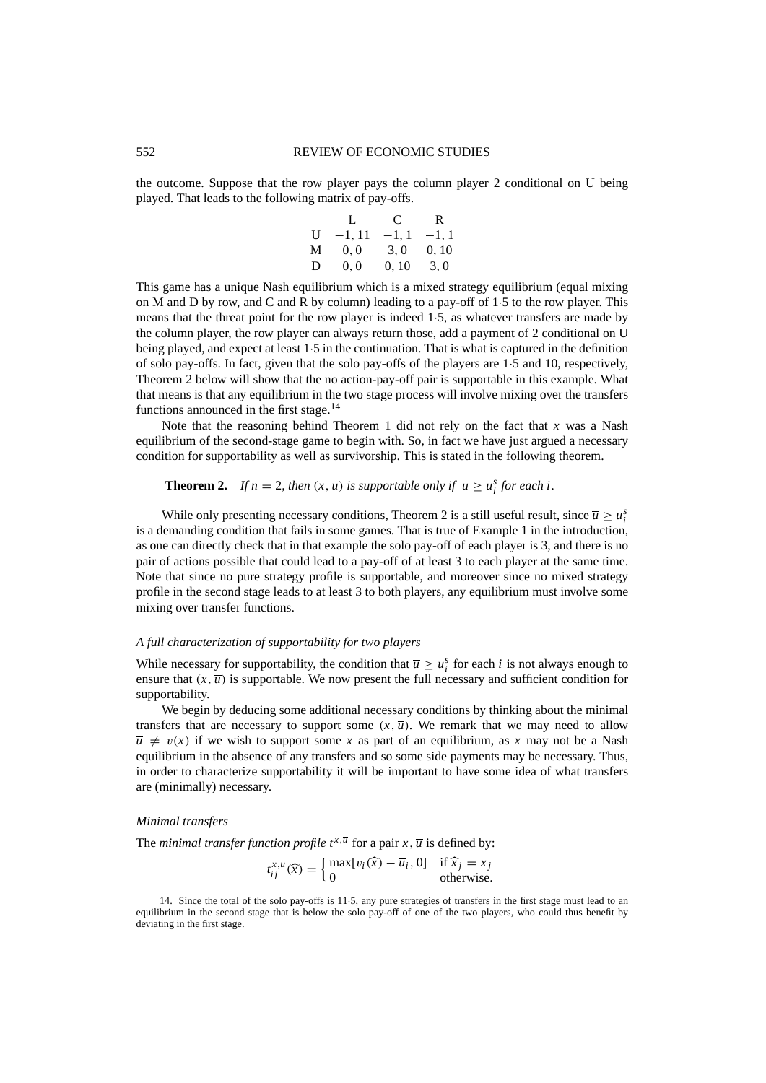the outcome. Suppose that the row player pays the column player 2 conditional on U being played. That leads to the following matrix of pay-offs.

|   | L        | $\mathbf{C}$ | $\mathbb{R}$ |
|---|----------|--------------|--------------|
| U | $-1, 11$ | $-1, 1$      | $-1, 1$      |
| M | 0.0      | 3.0          | 0, 10        |
| D | 0.0      | 0.10         | 3, 0         |

This game has a unique Nash equilibrium which is a mixed strategy equilibrium (equal mixing on M and D by row, and C and R by column) leading to a pay-off of 1·5 to the row player. This means that the threat point for the row player is indeed 1·5, as whatever transfers are made by the column player, the row player can always return those, add a payment of 2 conditional on U being played, and expect at least 1·5 in the continuation. That is what is captured in the definition of solo pay-offs. In fact, given that the solo pay-offs of the players are 1·5 and 10, respectively, Theorem [2](#page-0-0) below will show that the no action-pay-off pair is supportable in this example. What that means is that any equilibrium in the two stage process will involve mixing over the transfers functions announced in the first stage.[14](#page-9-0)

Note that the reasoning behind Theorem [1](#page-0-0) did not rely on the fact that *x* was a Nash equilibrium of the second-stage game to begin with. So, in fact we have just argued a necessary condition for supportability as well as survivorship. This is stated in the following theorem.

**Theorem 2.** *If*  $n = 2$ *, then*  $(x, \overline{u})$  *is supportable only if*  $\overline{u} \ge u_i^s$  *for each i.* 

While only presenting necessary conditions, Theorem [2](#page-0-0) is a still useful result, since  $\overline{u} \ge u_i^s$ is a demanding condition that fails in some games. That is true of Example [1](#page-0-0) in the introduction, as one can directly check that in that example the solo pay-off of each player is 3, and there is no pair of actions possible that could lead to a pay-off of at least 3 to each player at the same time. Note that since no pure strategy profile is supportable, and moreover since no mixed strategy profile in the second stage leads to at least 3 to both players, any equilibrium must involve some mixing over transfer functions.

#### *A full characterization of supportability for two players*

While necessary for supportability, the condition that  $\overline{u} \geq u_i^s$  for each *i* is not always enough to ensure that  $(x, \bar{u})$  is supportable. We now present the full necessary and sufficient condition for supportability.

We begin by deducing some additional necessary conditions by thinking about the minimal transfers that are necessary to support some  $(x, \bar{u})$ . We remark that we may need to allow  $\overline{u} \neq v(x)$  if we wish to support some *x* as part of an equilibrium, as *x* may not be a Nash equilibrium in the absence of any transfers and so some side payments may be necessary. Thus, in order to characterize supportability it will be important to have some idea of what transfers are (minimally) necessary.

#### *Minimal transfers*

The *minimal transfer function profile*  $t^{x,\overline{u}}$  for a pair  $x, \overline{u}$  is defined by:

$$
t_{ij}^{x,\overline{u}}(\widehat{x}) = \begin{cases} \max[v_i(\widehat{x}) - \overline{u}_i, 0] & \text{if } \widehat{x}_j = x_j \\ 0 & \text{otherwise.} \end{cases}
$$

<span id="page-9-0"></span>14. Since the total of the solo pay-offs is 11·5, any pure strategies of transfers in the first stage must lead to an equilibrium in the second stage that is below the solo pay-off of one of the two players, who could thus benefit by deviating in the first stage.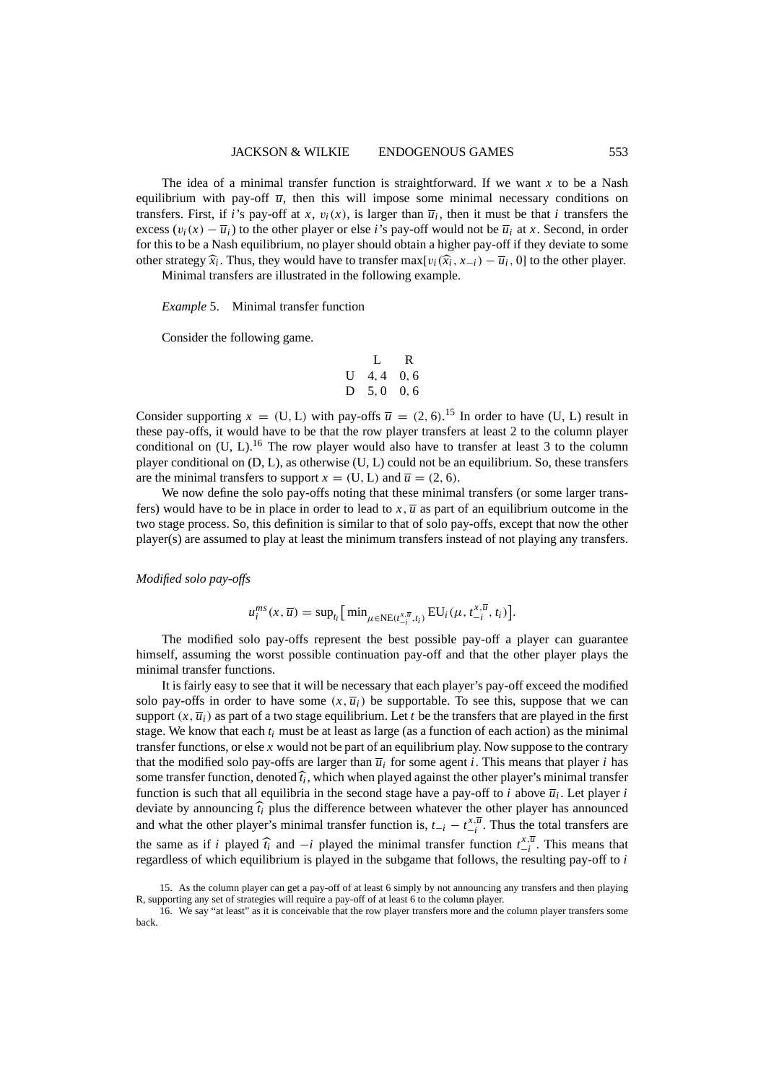The idea of a minimal transfer function is straightforward. If we want *x* to be a Nash equilibrium with pay-off  $\bar{u}$ , then this will impose some minimal necessary conditions on transfers. First, if *i*'s pay-off at *x*,  $v_i(x)$ , is larger than  $\overline{u}_i$ , then it must be that *i* transfers the excess  $(v_i(x) - \overline{u}_i)$  to the other player or else *i*'s pay-off would not be  $\overline{u}_i$  at *x*. Second, in order for this to be a Nash equilibrium, no player should obtain a higher pay-off if they deviate to some other strategy  $\hat{x}_i$ . Thus, they would have to transfer max[ $v_i(\hat{x}_i, x_{-i}) - \overline{u}_i$ , 0] to the other player.<br>Minimal transfers are illustrated in the following example Minimal transfers are illustrated in the following example.

*Example* 5. Minimal transfer function

Consider the following game.

L R U 4, 4 0, 6 D 5, 0 0, 6

Consider supporting  $x = (U, L)$  with pay-offs  $\overline{u} = (2, 6)$ .<sup>[15](#page-10-0)</sup> In order to have (U, L) result in these pay-offs, it would have to be that the row player transfers at least 2 to the column player conditional on  $(U, L)$ .<sup>[16](#page-10-1)</sup> The row player would also have to transfer at least 3 to the column player conditional on  $(D, L)$ , as otherwise  $(U, L)$  could not be an equilibrium. So, these transfers are the minimal transfers to support  $x = (U, L)$  and  $\overline{u} = (2, 6)$ .

We now define the solo pay-offs noting that these minimal transfers (or some larger transfers) would have to be in place in order to lead to  $x, \overline{u}$  as part of an equilibrium outcome in the two stage process. So, this definition is similar to that of solo pay-offs, except that now the other player(s) are assumed to play at least the minimum transfers instead of not playing any transfers.

*Modified solo pay-offs*

$$
u_i^{ms}(x,\overline{u}) = \sup_{t_i} \left[ \min_{\mu \in \text{NE}(t_{-i}^{x,\overline{u}},t_i)} \text{EU}_i(\mu,t_{-i}^{x,\overline{u}},t_i) \right].
$$

The modified solo pay-offs represent the best possible pay-off a player can guarantee himself, assuming the worst possible continuation pay-off and that the other player plays the minimal transfer functions.

It is fairly easy to see that it will be necessary that each player's pay-off exceed the modified solo pay-offs in order to have some  $(x, \bar{u}_i)$  be supportable. To see this, suppose that we can support  $(x, \bar{u}_i)$  as part of a two stage equilibrium. Let *t* be the transfers that are played in the first stage. We know that each  $t_i$  must be at least as large (as a function of each action) as the minimal transfer functions, or else *x* would not be part of an equilibrium play. Now suppose to the contrary that the modified solo pay-offs are larger than  $\overline{u}_i$  for some agent *i*. This means that player *i* has some transfer function, denoted  $\hat{t}_i$ , which when played against the other player's minimal transfer<br>function is such that all souilibries in the second store have a new off to i shows  $\overline{u}$ . Let player is function is such that all equilibria in the second stage have a pay-off to *i* above  $\overline{u}_i$ . Let player *i* deviate by announcing  $\hat{t}_i$  plus the difference between whatever the other player has announced and what the other player's minimal transfer function is,  $t_{-i} - t_{-i}^{x,\overline{u}}$ . Thus the total transfers are the same as if *i* played  $\hat{t}_i$  and  $-i$  played the minimal transfer function  $t_{-i}^{x,\overline{u}}$ . This means that recordless of which conjibility in is played in the subseme that follows the may line new off to i regardless of which equilibrium is played in the subgame that follows, the resulting pay-off to *i*

<span id="page-10-0"></span><sup>15.</sup> As the column player can get a pay-off of at least 6 simply by not announcing any transfers and then playing R, supporting any set of strategies will require a pay-off of at least 6 to the column player.

<span id="page-10-1"></span><sup>16.</sup> We say "at least" as it is conceivable that the row player transfers more and the column player transfers some back.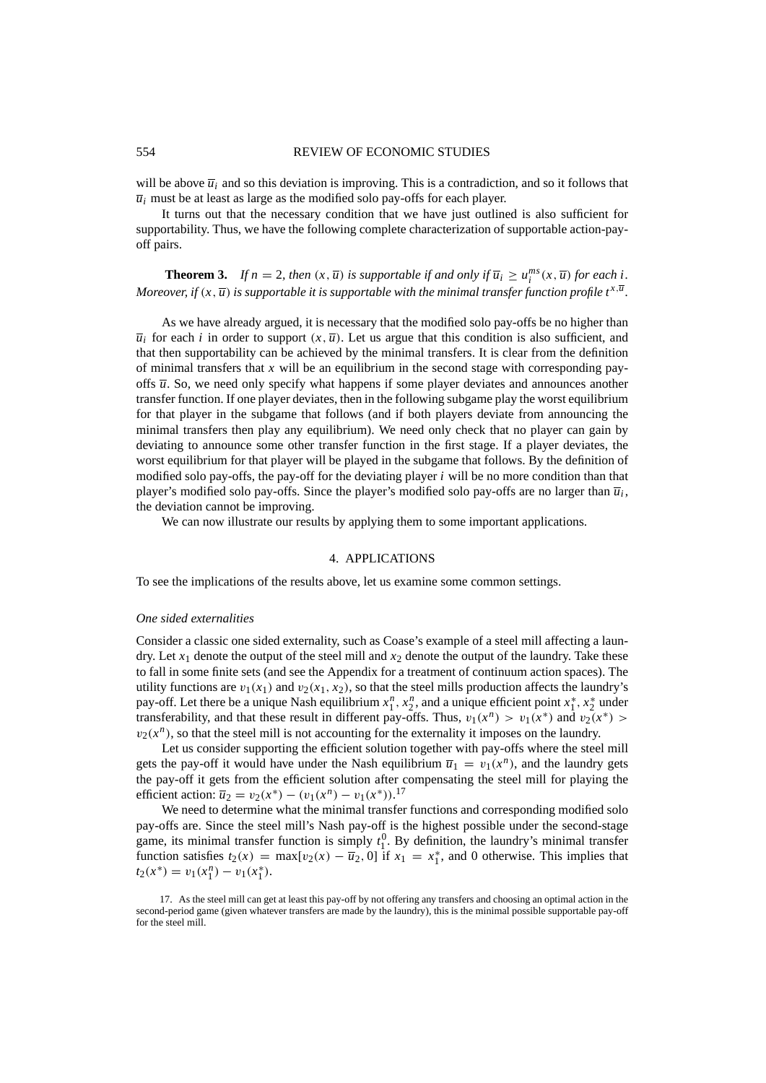will be above  $\overline{u}_i$  and so this deviation is improving. This is a contradiction, and so it follows that  $\overline{u}$ *i* must be at least as large as the modified solo pay-offs for each player.

It turns out that the necessary condition that we have just outlined is also sufficient for supportability. Thus, we have the following complete characterization of supportable action-payoff pairs.

**Theorem 3.** *If*  $n = 2$ , *then*  $(x, \overline{u})$  *is supportable if and only if*  $\overline{u}_i \ge u_i^{ms}(x, \overline{u})$  *for each i. Moreover, if*  $(x, \overline{u})$  *is supportable it is supportable with the minimal transfer function profile t<sup>x,* $\overline{u}$ *</sup>.* 

As we have already argued, it is necessary that the modified solo pay-offs be no higher than  $\overline{u_i}$  for each *i* in order to support  $(x, \overline{u})$ . Let us argue that this condition is also sufficient, and that then supportability can be achieved by the minimal transfers. It is clear from the definition of minimal transfers that *x* will be an equilibrium in the second stage with corresponding payoffs  $\overline{u}$ . So, we need only specify what happens if some player deviates and announces another transfer function. If one player deviates, then in the following subgame play the worst equilibrium for that player in the subgame that follows (and if both players deviate from announcing the minimal transfers then play any equilibrium). We need only check that no player can gain by deviating to announce some other transfer function in the first stage. If a player deviates, the worst equilibrium for that player will be played in the subgame that follows. By the definition of modified solo pay-offs, the pay-off for the deviating player *i* will be no more condition than that player's modified solo pay-offs. Since the player's modified solo pay-offs are no larger than  $\overline{u}_i$ , the deviation cannot be improving.

We can now illustrate our results by applying them to some important applications.

#### 4. APPLICATIONS

To see the implications of the results above, let us examine some common settings.

## *One sided externalities*

Consider a classic one sided externality, such as Coase's example of a steel mill affecting a laundry. Let  $x_1$  denote the output of the steel mill and  $x_2$  denote the output of the laundry. Take these to fall in some finite sets (and see the Appendix for a treatment of continuum action spaces). The utility functions are  $v_1(x_1)$  and  $v_2(x_1, x_2)$ , so that the steel mills production affects the laundry's pay-off. Let there be a unique Nash equilibrium  $x_1^n$ ,  $x_2^n$ , and a unique efficient point  $x_1^*, x_2^*$  under transferability, and that these result in different pay-offs. Thus,  $v_1(x^n) > v_1(x^*)$  and  $v_2(x^*) >$  $v_2(x^n)$ , so that the steel mill is not accounting for the externality it imposes on the laundry.

Let us consider supporting the efficient solution together with pay-offs where the steel mill gets the pay-off it would have under the Nash equilibrium  $\overline{u}_1 = v_1(x^n)$ , and the laundry gets the pay-off it gets from the efficient solution after compensating the steel mill for playing the efficient action:  $\overline{u}_2 = v_2(x^*) - (v_1(x^n) - v_1(x^*))$ .<sup>[17](#page-11-0)</sup>

We need to determine what the minimal transfer functions and corresponding modified solo pay-offs are. Since the steel mill's Nash pay-off is the highest possible under the second-stage game, its minimal transfer function is simply  $t_1^0$ . By definition, the laundry's minimal transfer function satisfies  $t_2(x) = \max[v_2(x) - \overline{u}_2, 0]$  if  $x_1 = x_1^*$ , and 0 otherwise. This implies that  $t_2(x^*) = v_1(x_1^n) - v_1(x_1^*)$ .

<span id="page-11-0"></span><sup>17.</sup> As the steel mill can get at least this pay-off by not offering any transfers and choosing an optimal action in the second-period game (given whatever transfers are made by the laundry), this is the minimal possible supportable pay-off for the steel mill.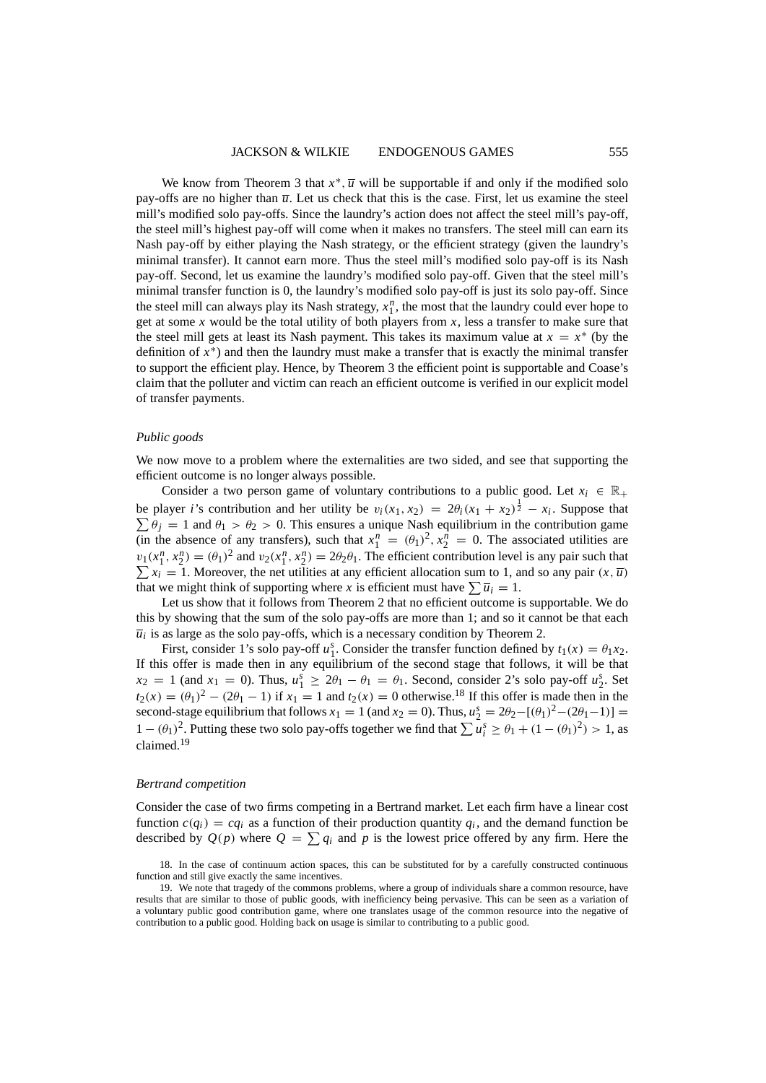We know from Theorem [3](#page-0-0) that  $x^*$ ,  $\overline{u}$  will be supportable if and only if the modified solo pay-offs are no higher than  $\overline{u}$ . Let us check that this is the case. First, let us examine the steel mill's modified solo pay-offs. Since the laundry's action does not affect the steel mill's pay-off, the steel mill's highest pay-off will come when it makes no transfers. The steel mill can earn its Nash pay-off by either playing the Nash strategy, or the efficient strategy (given the laundry's minimal transfer). It cannot earn more. Thus the steel mill's modified solo pay-off is its Nash pay-off. Second, let us examine the laundry's modified solo pay-off. Given that the steel mill's minimal transfer function is 0, the laundry's modified solo pay-off is just its solo pay-off. Since the steel mill can always play its Nash strategy,  $x_1^n$ , the most that the laundry could ever hope to get at some  $x$  would be the total utility of both players from  $x$ , less a transfer to make sure that the steel mill gets at least its Nash payment. This takes its maximum value at  $x = x^*$  (by the definition of  $x^*$ ) and then the laundry must make a transfer that is exactly the minimal transfer to support the efficient play. Hence, by Theorem [3](#page-0-0) the efficient point is supportable and Coase's claim that the polluter and victim can reach an efficient outcome is verified in our explicit model of transfer payments.

#### *Public goods*

We now move to a problem where the externalities are two sided, and see that supporting the efficient outcome is no longer always possible.

Consider a two person game of voluntary contributions to a public good. Let  $x_i \in \mathbb{R}_+$ be player *i*'s contribution and her utility be  $v_i(x_1, x_2) = 2\theta_i(x_1 + x_2)^{\frac{1}{2}} - x_i$ . Suppose that  $\sum \theta_j = 1$  and  $\theta_1 > \theta_2 > 0$ . This ensures a unique Nash equilibrium in the contribution game (in the absence of any transfers), such that  $x_1^n = (\theta_1)^2$ ,  $x_2^n = 0$ . The associated utilities are  $v_1(x_1^n, x_2^n) = (\theta_1)^2$  and  $v_2(x_1^n, x_2^n) = 2\theta_2\theta_1$ . The efficient contribution level is any pair such that  $\sum x_i = 1$ . Moreover, the net utilities at any efficient allocation sum to 1, and so any pair  $(x, \bar{u})$ that we might think of supporting where *x* is efficient must have  $\sum \overline{u_i} = 1$ .

Let us show that it follows from Theorem [2](#page-0-0) that no efficient outcome is supportable. We do this by showing that the sum of the solo pay-offs are more than 1; and so it cannot be that each  $\overline{u}_i$  is as large as the solo pay-offs, which is a necessary condition by Theorem [2.](#page-0-0)

First, consider 1's solo pay-off  $u_1^s$ . Consider the transfer function defined by  $t_1(x) = \theta_1 x_2$ . If this offer is made then in any equilibrium of the second stage that follows, it will be that  $x_2 = 1$  (and  $x_1 = 0$ ). Thus,  $u_1^s \ge 2\theta_1 - \theta_1 = \theta_1$ . Second, consider 2's solo pay-off  $u_2^s$ . Set  $t_2(x) = (\theta_1)^2 - (2\theta_1 - 1)$  if  $x_1 = 1$  and  $t_2(x) = 0$  otherwise.<sup>[18](#page-12-0)</sup> If this offer is made then in the second-stage equilibrium that follows  $x_1 = 1$  (and  $x_2 = 0$ ). Thus,  $u_2^s = 2\theta_2 - [(\theta_1)^2 - (2\theta_1 - 1)] =$  $1 - (\theta_1)^2$ . Putting these two solo pay-offs together we find that  $\sum u_i^s \ge \theta_1 + (1 - (\theta_1)^2) > 1$ , as claimed.[19](#page-12-1)

#### *Bertrand competition*

Consider the case of two firms competing in a Bertrand market. Let each firm have a linear cost function  $c(q_i) = cq_i$  as a function of their production quantity  $q_i$ , and the demand function be described by  $Q(p)$  where  $Q = \sum q_i$  and p is the lowest price offered by any firm. Here the

<span id="page-12-0"></span><sup>18.</sup> In the case of continuum action spaces, this can be substituted for by a carefully constructed continuous function and still give exactly the same incentives.

<span id="page-12-1"></span><sup>19.</sup> We note that tragedy of the commons problems, where a group of individuals share a common resource, have results that are similar to those of public goods, with inefficiency being pervasive. This can be seen as a variation of a voluntary public good contribution game, where one translates usage of the common resource into the negative of contribution to a public good. Holding back on usage is similar to contributing to a public good.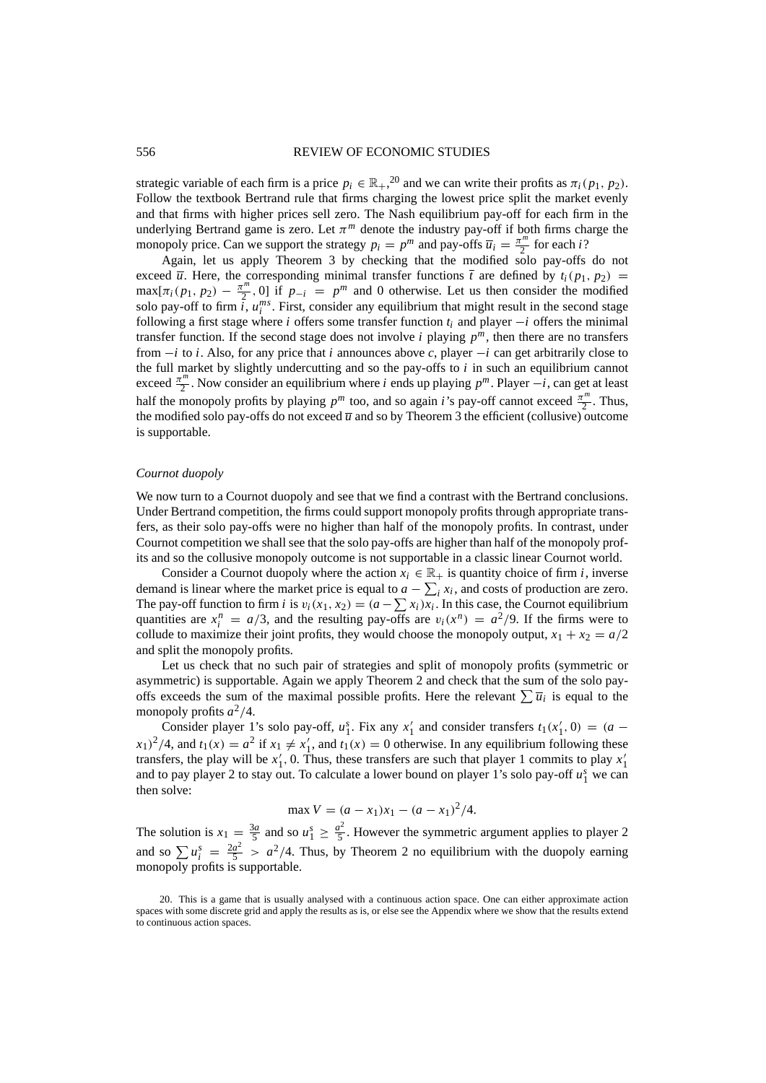strategic variable of each firm is a price  $p_i \in \mathbb{R}_+$ , <sup>[20](#page-13-0)</sup> and we can write their profits as  $\pi_i(p_1, p_2)$ . Follow the textbook Bertrand rule that firms charging the lowest price split the market evenly and that firms with higher prices sell zero. The Nash equilibrium pay-off for each firm in the underlying Bertrand game is zero. Let  $\pi^m$  denote the industry pay-off if both firms charge the monopoly price. Can we support the strategy  $p_i = p^m$  and pay-offs  $\overline{u}_i = \frac{\pi^m}{2}$  $\frac{f^m}{2}$  for each *i*?

Again, let us apply Theorem [3](#page-0-0) by checking that the modified solo pay-offs do not exceed  $\overline{u}$ . Here, the corresponding minimal transfer functions  $\overline{t}$  are defined by  $t_i(p_1, p_2)$  =  $max[\pi_i(p_1, p_2) - \frac{\pi^m}{2}]$  $\left[\frac{m}{2}, 0\right]$  if  $p_{-i} = p^m$  and 0 otherwise. Let us then consider the modified solo pay-off to firm  $\tilde{i}$ ,  $u_i^{ms}$ . First, consider any equilibrium that might result in the second stage following a first stage where *i* offers some transfer function  $t_i$  and player  $-i$  offers the minimal transfer function. If the second stage does not involve *i* playing  $p^m$ , then there are no transfers from −*i* to *i*. Also, for any price that *i* announces above *c*, player −*i* can get arbitrarily close to the full market by slightly undercutting and so the pay-offs to *i* in such an equilibrium cannot exceed  $\frac{\pi^m}{2}$  $\frac{m}{2}$ . Now consider an equilibrium where *i* ends up playing *p*<sup>*m*</sup>. Player −*i*, can get at least half the monopoly profits by playing  $p^m$  too, and so again *i*'s pay-off cannot exceed  $\frac{\pi^m}{2}$  $rac{r^m}{2}$ . Thus, the modified solo pay-offs do not exceed  $\overline{u}$  and so by Theorem [3](#page-0-0) the efficient (collusive) outcome is supportable.

#### *Cournot duopoly*

We now turn to a Cournot duopoly and see that we find a contrast with the Bertrand conclusions. Under Bertrand competition, the firms could support monopoly profits through appropriate transfers, as their solo pay-offs were no higher than half of the monopoly profits. In contrast, under Cournot competition we shall see that the solo pay-offs are higher than half of the monopoly profits and so the collusive monopoly outcome is not supportable in a classic linear Cournot world.

Consider a Cournot duopoly where the action  $x_i \in \mathbb{R}_+$  is quantity choice of firm *i*, inverse demand is linear where the market price is equal to  $a - \sum_i x_i$ , and costs of production are zero. The pay-off function to firm *i* is  $v_i(x_1, x_2) = (a - \sum x_i)x_i$ . In this case, the Cournot equilibrium quantities are  $x_i^n = a/3$ , and the resulting pay-offs are  $v_i(x^n) = a^2/9$ . If the firms were to collude to maximize their joint profits, they would choose the monopoly output,  $x_1 + x_2 = a/2$ and split the monopoly profits.

Let us check that no such pair of strategies and split of monopoly profits (symmetric or asymmetric) is supportable. Again we apply Theorem [2](#page-0-0) and check that the sum of the solo payoffs exceeds the sum of the maximal possible profits. Here the relevant  $\sum \overline{u_i}$  is equal to the monopoly profits  $a^2/4$ .

Consider player 1's solo pay-off,  $u_1^s$ . Fix any  $x_1'$  and consider transfers  $t_1(x_1', 0) = (a$  $f(x) = \frac{a^2}{\ln x_1} \neq x'_1$ , and  $t_1(x) = 0$  otherwise. In any equilibrium following these transfers, the play will be  $x'_1$ , 0. Thus, these transfers are such that player 1 commits to play  $x'_1$ and to pay player 2 to stay out. To calculate a lower bound on player 1's solo pay-off  $u_1^s$  we can then solve:

$$
\max V = (a - x_1)x_1 - (a - x_1)^2/4.
$$

The solution is  $x_1 = \frac{3a}{5}$  and so  $u_1^s \ge \frac{a^2}{5}$  $\frac{1}{5}$ . However the symmetric argument applies to player 2 and so  $\sum u_i^s = \frac{2a^2}{5} > a^2/4$  $\sum u_i^s = \frac{2a^2}{5} > a^2/4$  $\sum u_i^s = \frac{2a^2}{5} > a^2/4$ . Thus, by Theorem 2 no equilibrium with the duopoly earning monopoly profits is supportable.

<span id="page-13-0"></span><sup>20.</sup> This is a game that is usually analysed with a continuous action space. One can either approximate action spaces with some discrete grid and apply the results as is, or else see the Appendix where we show that the results extend to continuous action spaces.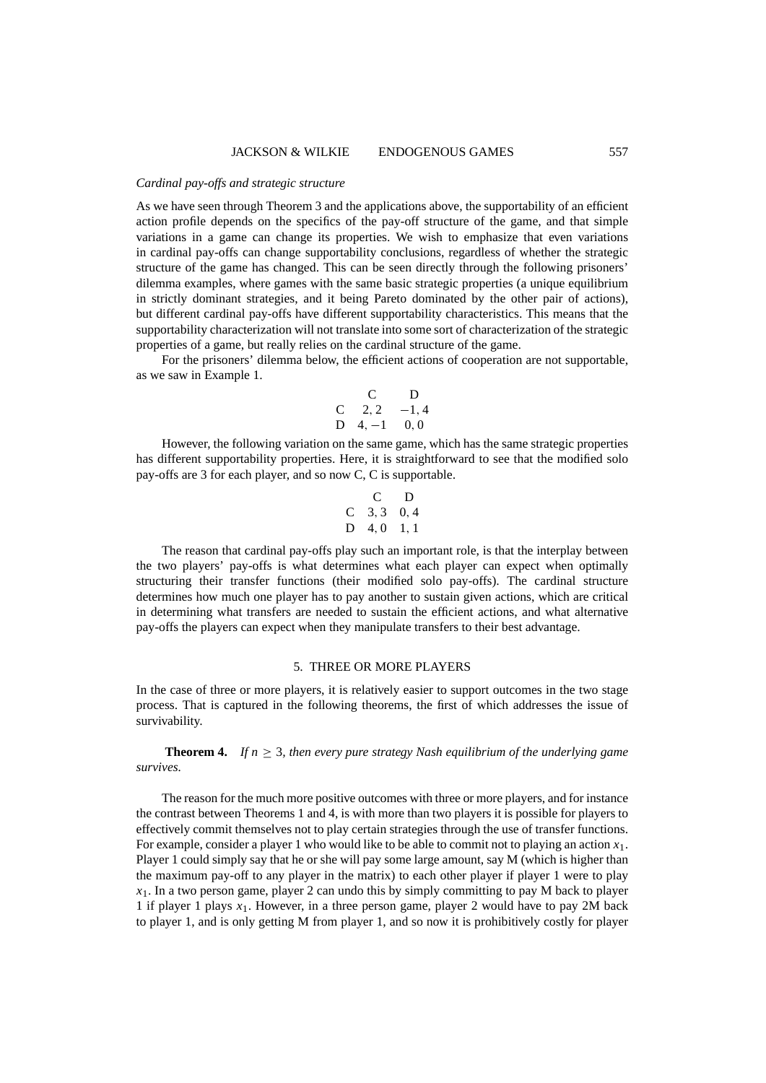## *Cardinal pay-offs and strategic structure*

As we have seen through Theorem [3](#page-0-0) and the applications above, the supportability of an efficient action profile depends on the specifics of the pay-off structure of the game, and that simple variations in a game can change its properties. We wish to emphasize that even variations in cardinal pay-offs can change supportability conclusions, regardless of whether the strategic structure of the game has changed. This can be seen directly through the following prisoners' dilemma examples, where games with the same basic strategic properties (a unique equilibrium in strictly dominant strategies, and it being Pareto dominated by the other pair of actions), but different cardinal pay-offs have different supportability characteristics. This means that the supportability characterization will not translate into some sort of characterization of the strategic properties of a game, but really relies on the cardinal structure of the game.

For the prisoners' dilemma below, the efficient actions of cooperation are not supportable, as we saw in Example [1.](#page-0-0)

C D C 2, 2 −1, 4 D 4, −1 0, 0

However, the following variation on the same game, which has the same strategic properties has different supportability properties. Here, it is straightforward to see that the modified solo pay-offs are 3 for each player, and so now C, C is supportable.

$$
\begin{array}{cc}\n & C & D \\
C & 3,3 & 0,4 \\
D & 4,0 & 1,1\n\end{array}
$$

The reason that cardinal pay-offs play such an important role, is that the interplay between the two players' pay-offs is what determines what each player can expect when optimally structuring their transfer functions (their modified solo pay-offs). The cardinal structure determines how much one player has to pay another to sustain given actions, which are critical in determining what transfers are needed to sustain the efficient actions, and what alternative pay-offs the players can expect when they manipulate transfers to their best advantage.

## 5. THREE OR MORE PLAYERS

In the case of three or more players, it is relatively easier to support outcomes in the two stage process. That is captured in the following theorems, the first of which addresses the issue of survivability.

**Theorem 4.** *If*  $n \geq 3$ *, then every pure strategy Nash equilibrium of the underlying game survives.*

The reason for the much more positive outcomes with three or more players, and for instance the contrast between Theorems [1](#page-0-0) and [4,](#page-0-0) is with more than two players it is possible for players to effectively commit themselves not to play certain strategies through the use of transfer functions. For example, consider a player 1 who would like to be able to commit not to playing an action *x*1. Player 1 could simply say that he or she will pay some large amount, say M (which is higher than the maximum pay-off to any player in the matrix) to each other player if player 1 were to play  $x_1$ . In a two person game, player 2 can undo this by simply committing to pay M back to player 1 if player 1 plays *x*1. However, in a three person game, player 2 would have to pay 2M back to player 1, and is only getting M from player 1, and so now it is prohibitively costly for player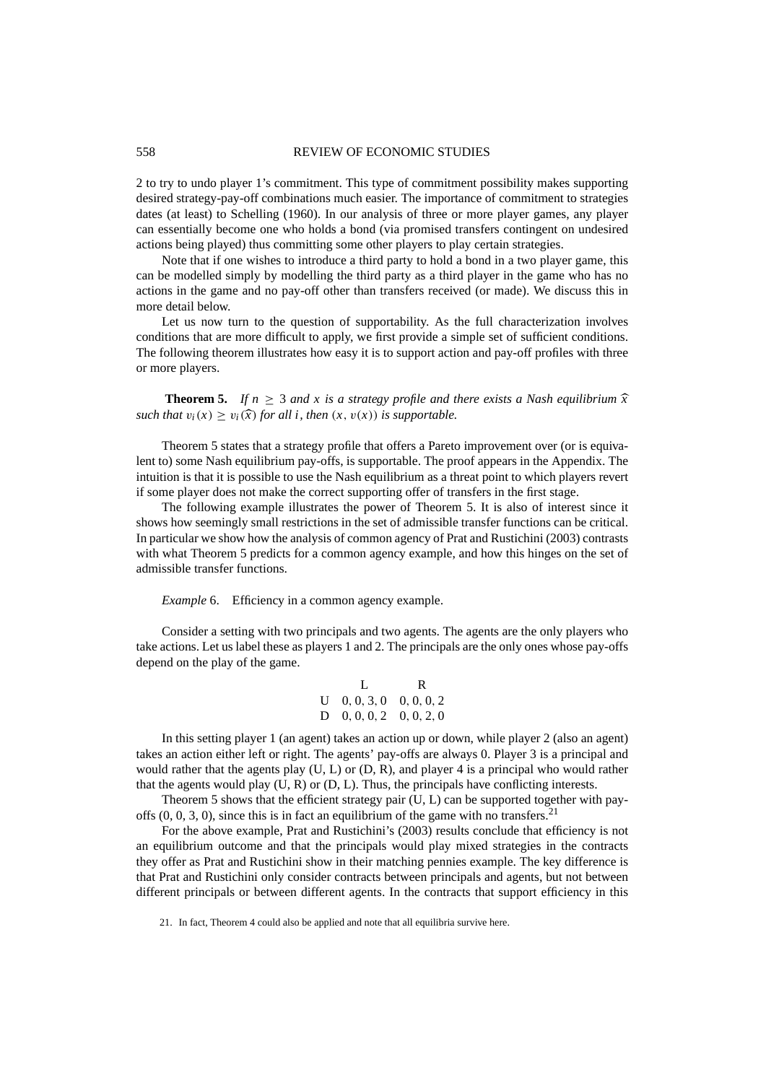2 to try to undo player 1's commitment. This type of commitment possibility makes supporting desired strategy-pay-off combinations much easier. The importance of commitment to strategies dates (at least) to [Schelling](#page-23-25) [\(1960\)](#page-23-25). In our analysis of three or more player games, any player can essentially become one who holds a bond (via promised transfers contingent on undesired actions being played) thus committing some other players to play certain strategies.

Note that if one wishes to introduce a third party to hold a bond in a two player game, this can be modelled simply by modelling the third party as a third player in the game who has no actions in the game and no pay-off other than transfers received (or made). We discuss this in more detail below.

Let us now turn to the question of supportability. As the full characterization involves conditions that are more difficult to apply, we first provide a simple set of sufficient conditions. The following theorem illustrates how easy it is to support action and pay-off profiles with three or more players.

**Theorem 5.** *If*  $n \geq 3$  *and x is a strategy profile and there exists a Nash equilibrium*  $\hat{x}$ *such that*  $v_i(x) \ge v_i(\hat{x})$  *for all i, then*  $(x, v(x))$  *is supportable.* 

Theorem [5](#page-0-0) states that a strategy profile that offers a Pareto improvement over (or is equivalent to) some Nash equilibrium pay-offs, is supportable. The proof appears in the Appendix. The intuition is that it is possible to use the Nash equilibrium as a threat point to which players revert if some player does not make the correct supporting offer of transfers in the first stage.

The following example illustrates the power of Theorem [5.](#page-0-0) It is also of interest since it shows how seemingly small restrictions in the set of admissible transfer functions can be critical. In particular we show how the analysis of common agency of [Prat and Rustichini](#page-23-9) [\(2003\)](#page-23-9) contrasts with what Theorem [5](#page-0-0) predicts for a common agency example, and how this hinges on the set of admissible transfer functions.

*Example* 6. Efficiency in a common agency example.

Consider a setting with two principals and two agents. The agents are the only players who take actions. Let us label these as players 1 and 2. The principals are the only ones whose pay-offs depend on the play of the game.

$$
\begin{array}{ccccc}\n & L & R \\
U & 0, 0, 3, 0 & 0, 0, 0, 2 \\
D & 0, 0, 0, 2 & 0, 0, 2, 0\n\end{array}
$$

In this setting player 1 (an agent) takes an action up or down, while player 2 (also an agent) takes an action either left or right. The agents' pay-offs are always 0. Player 3 is a principal and would rather that the agents play  $(U, L)$  or  $(D, R)$ , and player 4 is a principal who would rather that the agents would play  $(U, R)$  or  $(D, L)$ . Thus, the principals have conflicting interests.

Theorem [5](#page-0-0) shows that the efficient strategy pair (U, L) can be supported together with payoffs  $(0, 0, 3, 0)$ , since this is in fact an equilibrium of the game with no transfers.<sup>[21](#page-15-0)</sup>

For the above example, [Prat and Rustichini'](#page-23-9)s [\(2003\)](#page-23-9) results conclude that efficiency is not an equilibrium outcome and that the principals would play mixed strategies in the contracts they offer as Prat and Rustichini show in their matching pennies example. The key difference is that Prat and Rustichini only consider contracts between principals and agents, but not between different principals or between different agents. In the contracts that support efficiency in this

<span id="page-15-0"></span>21. In fact, Theorem [4](#page-0-0) could also be applied and note that all equilibria survive here.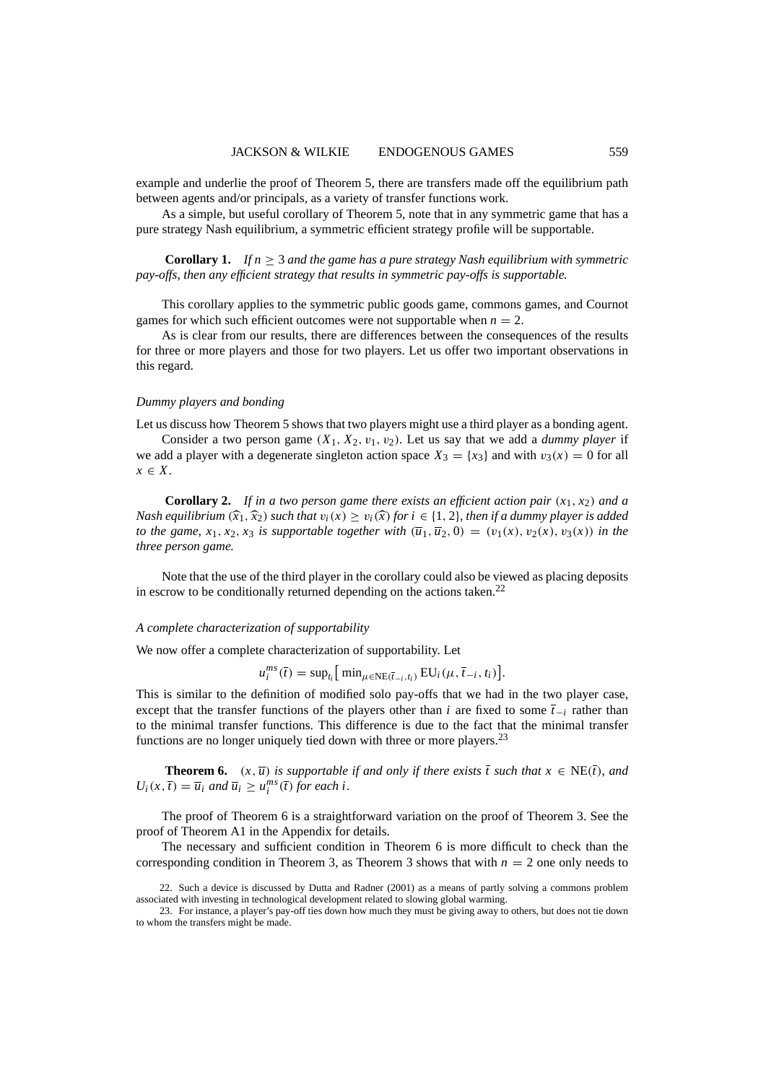example and underlie the proof of Theorem [5,](#page-0-0) there are transfers made off the equilibrium path between agents and/or principals, as a variety of transfer functions work.

As a simple, but useful corollary of Theorem [5,](#page-0-0) note that in any symmetric game that has a pure strategy Nash equilibrium, a symmetric efficient strategy profile will be supportable.

**Corollary 1.** *If*  $n > 3$  *and the game has a pure strategy Nash equilibrium with symmetric pay-offs, then any efficient strategy that results in symmetric pay-offs is supportable.*

This corollary applies to the symmetric public goods game, commons games, and Cournot games for which such efficient outcomes were not supportable when  $n = 2$ .

As is clear from our results, there are differences between the consequences of the results for three or more players and those for two players. Let us offer two important observations in this regard.

#### *Dummy players and bonding*

Let us discuss how Theorem [5](#page-0-0) shows that two players might use a third player as a bonding agent.

Consider a two person game  $(X_1, X_2, v_1, v_2)$ . Let us say that we add a *dummy player* if we add a player with a degenerate singleton action space  $X_3 = \{x_3\}$  and with  $v_3(x) = 0$  for all *x* ∈ *X*.

**Corollary 2.** If in a two person game there exists an efficient action pair  $(x_1, x_2)$  and a *Nash equilibrium*  $(\widehat{x}_1, \widehat{x}_2)$  *such that*  $v_i(x) \ge v_i(\widehat{x})$  *for*  $i \in \{1, 2\}$ *, then if a dummy player is added to the game,*  $x_1, x_2, x_3$  *is supportable together with*  $(\overline{u}_1, \overline{u}_2, 0) = (v_1(x), v_2(x), v_3(x))$  *in the three person game.*

Note that the use of the third player in the corollary could also be viewed as placing deposits in escrow to be conditionally returned depending on the actions taken.<sup>[22](#page-16-0)</sup>

#### *A complete characterization of supportability*

We now offer a complete characterization of supportability. Let

 $u_i^{ms}(\bar{t}) = \sup_{t_i} \left[ \min_{\mu \in \text{NE}(\bar{t}_{-i}, t_i)} \text{EU}_i(\mu, \bar{t}_{-i}, t_i) \right].$ 

This is similar to the definition of modified solo pay-offs that we had in the two player case, except that the transfer functions of the players other than *i* are fixed to some *t*−*<sup>i</sup>* rather than to the minimal transfer functions. This difference is due to the fact that the minimal transfer functions are no longer uniquely tied down with three or more players.<sup>[23](#page-16-1)</sup>

**Theorem 6.**  $(x, \bar{u})$  *is supportable if and only if there exists*  $\bar{t}$  *such that*  $x \in \text{NE}(\bar{t})$ *, and*  $U_i(x, \overline{t}) = \overline{u}_i$  and  $\overline{u}_i \ge u_i^{ms}(\overline{t})$  for each i.

The proof of Theorem [6](#page-0-0) is a straightforward variation on the proof of Theorem [3.](#page-0-0) See the proof of Theorem [A1](#page-0-0) in the Appendix for details.

The necessary and sufficient condition in Theorem [6](#page-0-0) is more difficult to check than the corresponding condition in Theorem [3,](#page-0-0) as Theorem [3](#page-0-0) shows that with  $n = 2$  one only needs to

<span id="page-16-0"></span><sup>22.</sup> Such a device is discussed by [Dutta and Radner](#page-23-26) [\(2001\)](#page-23-26) as a means of partly solving a commons problem associated with investing in technological development related to slowing global warming.

<span id="page-16-1"></span><sup>23.</sup> For instance, a player's pay-off ties down how much they must be giving away to others, but does not tie down to whom the transfers might be made.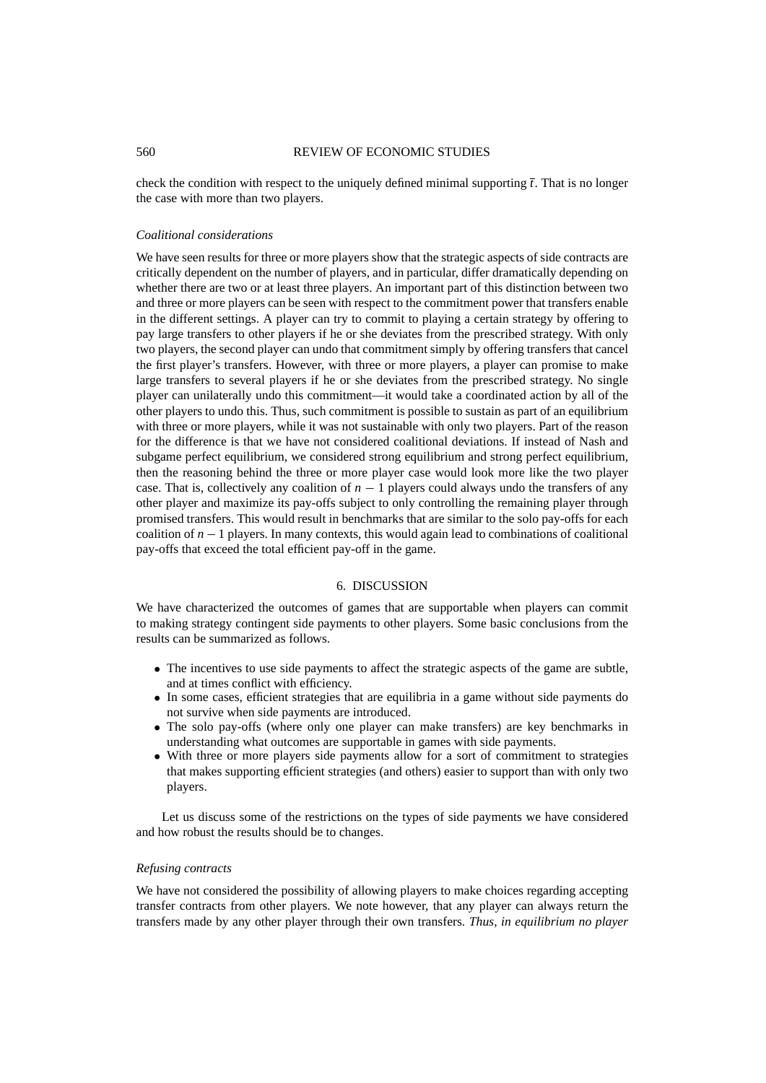check the condition with respect to the uniquely defined minimal supporting  $\bar{t}$ . That is no longer the case with more than two players.

## *Coalitional considerations*

We have seen results for three or more players show that the strategic aspects of side contracts are critically dependent on the number of players, and in particular, differ dramatically depending on whether there are two or at least three players. An important part of this distinction between two and three or more players can be seen with respect to the commitment power that transfers enable in the different settings. A player can try to commit to playing a certain strategy by offering to pay large transfers to other players if he or she deviates from the prescribed strategy. With only two players, the second player can undo that commitment simply by offering transfers that cancel the first player's transfers. However, with three or more players, a player can promise to make large transfers to several players if he or she deviates from the prescribed strategy. No single player can unilaterally undo this commitment—it would take a coordinated action by all of the other players to undo this. Thus, such commitment is possible to sustain as part of an equilibrium with three or more players, while it was not sustainable with only two players. Part of the reason for the difference is that we have not considered coalitional deviations. If instead of Nash and subgame perfect equilibrium, we considered strong equilibrium and strong perfect equilibrium, then the reasoning behind the three or more player case would look more like the two player case. That is, collectively any coalition of  $n - 1$  players could always undo the transfers of any other player and maximize its pay-offs subject to only controlling the remaining player through promised transfers. This would result in benchmarks that are similar to the solo pay-offs for each coalition of *n* −1 players. In many contexts, this would again lead to combinations of coalitional pay-offs that exceed the total efficient pay-off in the game.

# 6. DISCUSSION

We have characterized the outcomes of games that are supportable when players can commit to making strategy contingent side payments to other players. Some basic conclusions from the results can be summarized as follows.

- The incentives to use side payments to affect the strategic aspects of the game are subtle, and at times conflict with efficiency.
- In some cases, efficient strategies that are equilibria in a game without side payments do not survive when side payments are introduced.
- The solo pay-offs (where only one player can make transfers) are key benchmarks in understanding what outcomes are supportable in games with side payments.
- With three or more players side payments allow for a sort of commitment to strategies that makes supporting efficient strategies (and others) easier to support than with only two players.

Let us discuss some of the restrictions on the types of side payments we have considered and how robust the results should be to changes.

## *Refusing contracts*

We have not considered the possibility of allowing players to make choices regarding accepting transfer contracts from other players. We note however, that any player can always return the transfers made by any other player through their own transfers. *Thus, in equilibrium no player*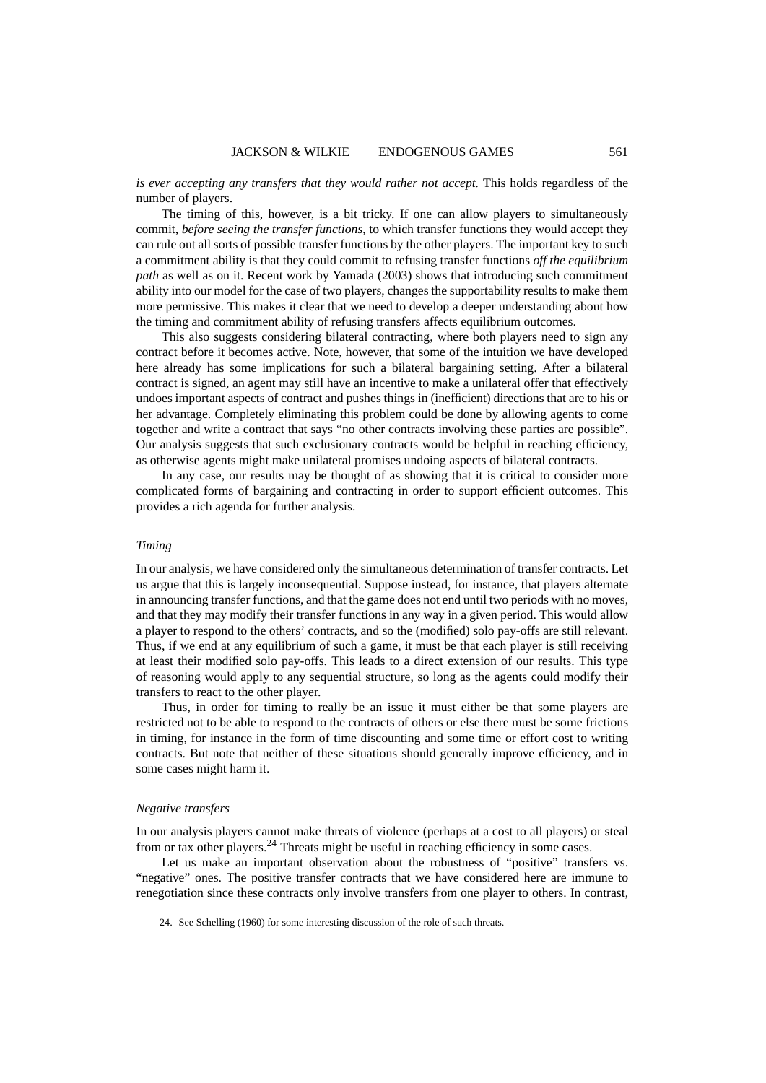*is ever accepting any transfers that they would rather not accept.* This holds regardless of the number of players.

The timing of this, however, is a bit tricky. If one can allow players to simultaneously commit, *before seeing the transfer functions*, to which transfer functions they would accept they can rule out all sorts of possible transfer functions by the other players. The important key to such a commitment ability is that they could commit to refusing transfer functions *off the equilibrium path* as well as on it. Recent work by [Yamada](#page-23-27) [\(2003\)](#page-23-27) shows that introducing such commitment ability into our model for the case of two players, changes the supportability results to make them more permissive. This makes it clear that we need to develop a deeper understanding about how the timing and commitment ability of refusing transfers affects equilibrium outcomes.

This also suggests considering bilateral contracting, where both players need to sign any contract before it becomes active. Note, however, that some of the intuition we have developed here already has some implications for such a bilateral bargaining setting. After a bilateral contract is signed, an agent may still have an incentive to make a unilateral offer that effectively undoes important aspects of contract and pushes things in (inefficient) directions that are to his or her advantage. Completely eliminating this problem could be done by allowing agents to come together and write a contract that says "no other contracts involving these parties are possible". Our analysis suggests that such exclusionary contracts would be helpful in reaching efficiency, as otherwise agents might make unilateral promises undoing aspects of bilateral contracts.

In any case, our results may be thought of as showing that it is critical to consider more complicated forms of bargaining and contracting in order to support efficient outcomes. This provides a rich agenda for further analysis.

## *Timing*

In our analysis, we have considered only the simultaneous determination of transfer contracts. Let us argue that this is largely inconsequential. Suppose instead, for instance, that players alternate in announcing transfer functions, and that the game does not end until two periods with no moves, and that they may modify their transfer functions in any way in a given period. This would allow a player to respond to the others' contracts, and so the (modified) solo pay-offs are still relevant. Thus, if we end at any equilibrium of such a game, it must be that each player is still receiving at least their modified solo pay-offs. This leads to a direct extension of our results. This type of reasoning would apply to any sequential structure, so long as the agents could modify their transfers to react to the other player.

Thus, in order for timing to really be an issue it must either be that some players are restricted not to be able to respond to the contracts of others or else there must be some frictions in timing, for instance in the form of time discounting and some time or effort cost to writing contracts. But note that neither of these situations should generally improve efficiency, and in some cases might harm it.

#### *Negative transfers*

In our analysis players cannot make threats of violence (perhaps at a cost to all players) or steal from or tax other players.[24](#page-18-0) Threats might be useful in reaching efficiency in some cases.

Let us make an important observation about the robustness of "positive" transfers vs. "negative" ones. The positive transfer contracts that we have considered here are immune to renegotiation since these contracts only involve transfers from one player to others. In contrast,

<span id="page-18-0"></span>24. See [Schelling](#page-23-25) [\(1960\)](#page-23-25) for some interesting discussion of the role of such threats.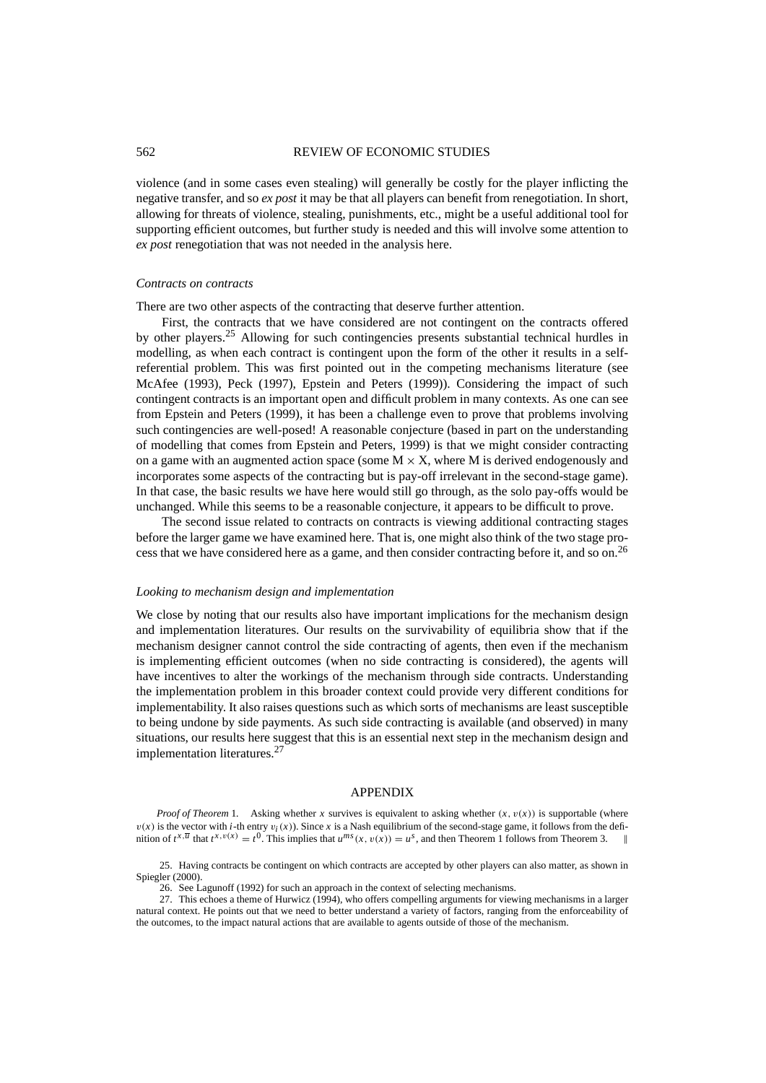violence (and in some cases even stealing) will generally be costly for the player inflicting the negative transfer, and so *ex post* it may be that all players can benefit from renegotiation. In short, allowing for threats of violence, stealing, punishments, etc., might be a useful additional tool for supporting efficient outcomes, but further study is needed and this will involve some attention to *ex post* renegotiation that was not needed in the analysis here.

#### *Contracts on contracts*

There are two other aspects of the contracting that deserve further attention.

First, the contracts that we have considered are not contingent on the contracts offered by other players.[25](#page-19-0) Allowing for such contingencies presents substantial technical hurdles in modelling, as when each contract is contingent upon the form of the other it results in a selfreferential problem. This was first pointed out in the competing mechanisms literature (see [McAfee](#page-23-14) [\(1993\)](#page-23-14), [Peck](#page-23-28) [\(1997\)](#page-23-28), [Epstein and Peters](#page-23-29) [\(1999\)](#page-23-29)). Considering the impact of such contingent contracts is an important open and difficult problem in many contexts. As one can see from [Epstein and Peters](#page-23-29) [\(1999\)](#page-23-29), it has been a challenge even to prove that problems involving such contingencies are well-posed! A reasonable conjecture (based in part on the understanding of modelling that comes from [Epstein and Peters,](#page-23-29) [1999\)](#page-23-29) is that we might consider contracting on a game with an augmented action space (some  $M \times X$ , where M is derived endogenously and incorporates some aspects of the contracting but is pay-off irrelevant in the second-stage game). In that case, the basic results we have here would still go through, as the solo pay-offs would be unchanged. While this seems to be a reasonable conjecture, it appears to be difficult to prove.

The second issue related to contracts on contracts is viewing additional contracting stages before the larger game we have examined here. That is, one might also think of the two stage process that we have considered here as a game, and then consider contracting before it, and so on.[26](#page-19-1)

#### *Looking to mechanism design and implementation*

We close by noting that our results also have important implications for the mechanism design and implementation literatures. Our results on the survivability of equilibria show that if the mechanism designer cannot control the side contracting of agents, then even if the mechanism is implementing efficient outcomes (when no side contracting is considered), the agents will have incentives to alter the workings of the mechanism through side contracts. Understanding the implementation problem in this broader context could provide very different conditions for implementability. It also raises questions such as which sorts of mechanisms are least susceptible to being undone by side payments. As such side contracting is available (and observed) in many situations, our results here suggest that this is an essential next step in the mechanism design and implementation literatures.[27](#page-19-2)

#### APPENDIX

*Proof of Theorem* [1](#page-0-0). Asking whether *x* survives is equivalent to asking whether  $(x, v(x))$  is supportable (where  $v(x)$  is the vector with *i*-th entry  $v_i(x)$ ). Since *x* is a Nash equilibrium of the second-stage game, it follows from the definition of  $t^{x,\overline{u}}$  that  $t^{x,v(x)} = t^0$ . This implies that  $u^{ms}(x, v(x)) = u^s$ , and then Theorem [1](#page-0-0) follows from Theorem [3.](#page-0-0)

25. Having contracts be contingent on which contracts are accepted by other players can also matter, as shown in [Spiegler](#page-23-30) [\(2000\)](#page-23-30).

<span id="page-19-2"></span><span id="page-19-1"></span><span id="page-19-0"></span>26. See [Lagunoff](#page-23-17) [\(1992\)](#page-23-17) for such an approach in the context of selecting mechanisms.

27. This echoes a theme of [Hurwicz](#page-23-31) [\(1994\)](#page-23-31), who offers compelling arguments for viewing mechanisms in a larger natural context. He points out that we need to better understand a variety of factors, ranging from the enforceability of the outcomes, to the impact natural actions that are available to agents outside of those of the mechanism.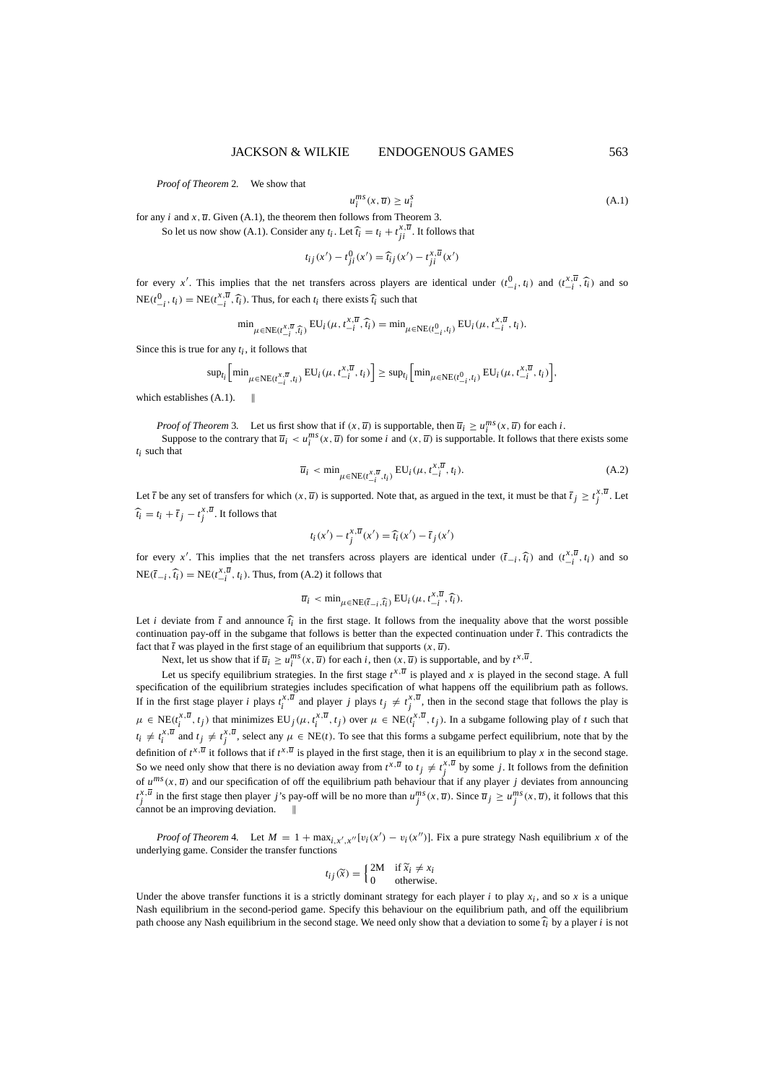*Proof of Theorem* [2](#page-0-0)*.* We show that

$$
(A.1)
$$

for any *i* and  $x$ ,  $\overline{u}$ . Given [\(A.1\)](#page-20-0), the theorem then follows from Theorem [3.](#page-0-0)

So let us now show [\(A.1\)](#page-20-0). Consider any  $t_i$ . Let  $\hat{t}_i = t_i + t_{ji}^{x,\overline{u}}$ . It follows that

$$
t_{ij}(x') - t_{ji}^{0}(x') = \hat{t}_{ij}(x') - t_{ji}^{x,\overline{u}}(x')
$$

<span id="page-20-0"></span> $u_i^{ms}(x, \overline{u}) \geq u_i^s$ 

for every *x'*. This implies that the net transfers across players are identical under  $(t_{-i}^0, t_i)$  and  $(t_{-i}^{x,\overline{u}}, \hat{t}_i)$  and so  $NE(t_{-i}^0, t_i) = NE(t_{-i}^{x, \overline{u}}, \hat{t}_i)$ . Thus, for each  $t_i$  there exists  $\hat{t}_i$  such that

$$
\min_{\mu \in NE(t_{-i}^{x,\overline{u}},\widehat{t}_i)} EU_i(\mu, t_{-i}^{x,\overline{u}},\widehat{t}_i) = \min_{\mu \in NE(t_{-i}^0,t_i)} EU_i(\mu, t_{-i}^{x,\overline{u}},t_i).
$$

Since this is true for any  $t_i$ , it follows that

$$
\sup_{t_i} \Big[ \min_{\mu \in \text{NE}(t_{-i}^{x,\overline{u}},t_i)} \text{EU}_i(\mu,t_{-i}^{x,\overline{u}},t_i) \Big] \geq \sup_{t_i} \Big[ \min_{\mu \in \text{NE}(t_{-i}^0,t_i)} \text{EU}_i(\mu,t_{-i}^{x,\overline{u}},t_i) \Big],
$$

which establishes  $(A.1)$ .

*Proof of Theorem* [3](#page-0-0). Let us first show that if  $(x, \overline{u})$  is supportable, then  $\overline{u_i} \ge u_i^{ms}(x, \overline{u})$  for each *i*.

Suppose to the contrary that  $\overline{u}_i \lt u_i^{ms}(x, \overline{u})$  for some *i* and  $(x, \overline{u})$  is supportable. It follows that there exists some *ti* such that

<span id="page-20-1"></span>
$$
\overline{u}_i < \min_{\mu \in \text{NE}(t_{-i}^{x,\overline{u}}, t_i)} \text{EU}_i(\mu, t_{-i}^{x,\overline{u}}, t_i). \tag{A.2}
$$

Let  $\bar{t}$  be any set of transfers for which  $(x, \bar{u})$  is supported. Note that, as argued in the text, it must be that  $\bar{t}_j \ge t_j^{x, \bar{u}}$ . Let  $\widehat{t}_i = t_i + \overline{t}_j - t_j^{x, \overline{u}}$ . It follows that

$$
t_i(x') - t_j^{x,\overline{u}}(x') = \widehat{t}_i(x') - \overline{t}_j(x')
$$

for every *x'*. This implies that the net transfers across players are identical under  $(\bar{t}_{-i}, \hat{t}_i)$  and  $(t_{-i}^{x, \bar{u}}, t_i)$  and so  $NE(\bar{t}_{-i}, \hat{t}_i) = NE(t_{-i}^{x, \bar{u}}, t_i)$ . Thus, from [\(A.2\)](#page-20-1) it follows that

$$
\overline{u}_i < \min_{\mu \in \text{NE}(\overline{t}_{-i}, \widehat{t}_i)} \text{EU}_i(\mu, t_{-i}^{x, \overline{u}}, \widehat{t}_i).
$$

Let *i* deviate from  $\bar{t}$  and announce  $\hat{t}_i$  in the first stage. It follows from the inequality above that the worst possible explicitly as  $\bar{t}$  and  $\bar{t}$  and  $\bar{t}$  and  $\bar{t}$  and  $\bar{t}$  and  $\bar{t}$  and  $\bar$ continuation pay-off in the subgame that follows is better than the expected continuation under  $\bar{t}$ . This contradicts the fact that  $\bar{t}$  was played in the first stage of an equilibrium that supports  $(x, \bar{u})$ .

Next, let us show that if  $\overline{u_i} \ge u_i^{ms}(x, \overline{u})$  for each *i*, then  $(x, \overline{u})$  is supportable, and by  $t^{x, \overline{u}}$ .

Let us specify equilibrium strategies. In the first stage  $t^{x,\overline{u}}$  is played and *x* is played in the second stage. A full specification of the equilibrium strategies includes specification of what happens off the equilibrium path as follows. If in the first stage player *i* plays  $t_i^{x,\overline{u}}$  and player *j* plays  $t_j \neq t_j^{x,\overline{u}}$ , then in the second stage that follows the play is  $\mu \in \text{NE}(t_i^{x,\overline{u}}, t_j)$  that minimizes  $\text{EU}_j(\mu, t_i^{x,\overline{u}}, t_j)$  over  $\mu \in \text{NE}(t_i^{x,\overline{u}}, t_j)$ . In a subgame following play of t such that  $t_i \neq t_i^{x,\overline{u}}$  and  $t_j \neq t_j^{x,\overline{u}}$ , select any  $\mu \in \text{NE}(t)$ . To see that this forms a subgame perfect equilibrium, note that by the definition of  $t^{x,\overline{u}}$  it follows that if  $t^{x,\overline{u}}$  is played in the first stage, then it is an equilibrium to play *x* in the second stage. So we need only show that there is no deviation away from  $t^{x,\overline{u}}$  to  $t_j \neq t_j^{x,\overline{u}}$  by some *j*. It follows from the definition of  $u^{ms}(x, \overline{u})$  and our specification of off the equilibrium path behaviour that if any player *j* deviates from announcing  $t_j^{\bar{x}, \bar{u}}$  in the first stage then player *j*'s pay-off will be no more than  $u_j^{ms}(x, \bar{u})$ . Since  $\bar{u}_j \ge u_j^{ms}(x, \bar{u})$ , it follows that this cannot be an improving deviation.  $\parallel$ 

*Proof of Theorem* [4](#page-0-0). Let  $M = 1 + \max_{i,x',x''}[v_i(x') - v_i(x'')]$ . Fix a pure strategy Nash equilibrium *x* of the underlying game. Consider the transfer functions

$$
t_{ij}(\widetilde{x}) = \begin{cases} 2M & \text{if } \widetilde{x}_i \neq x_i \\ 0 & \text{otherwise.} \end{cases}
$$

Under the above transfer functions it is a strictly dominant strategy for each player  $i$  to play  $x_i$ , and so  $x$  is a unique Nash equilibrium in the second-period game. Specify this behaviour on the equilibrium path, and off the equilibrium path choose any Nash equilibrium in the second stage. We need only show that a deviation to some  $\hat{t}_i$  by a player *i* is not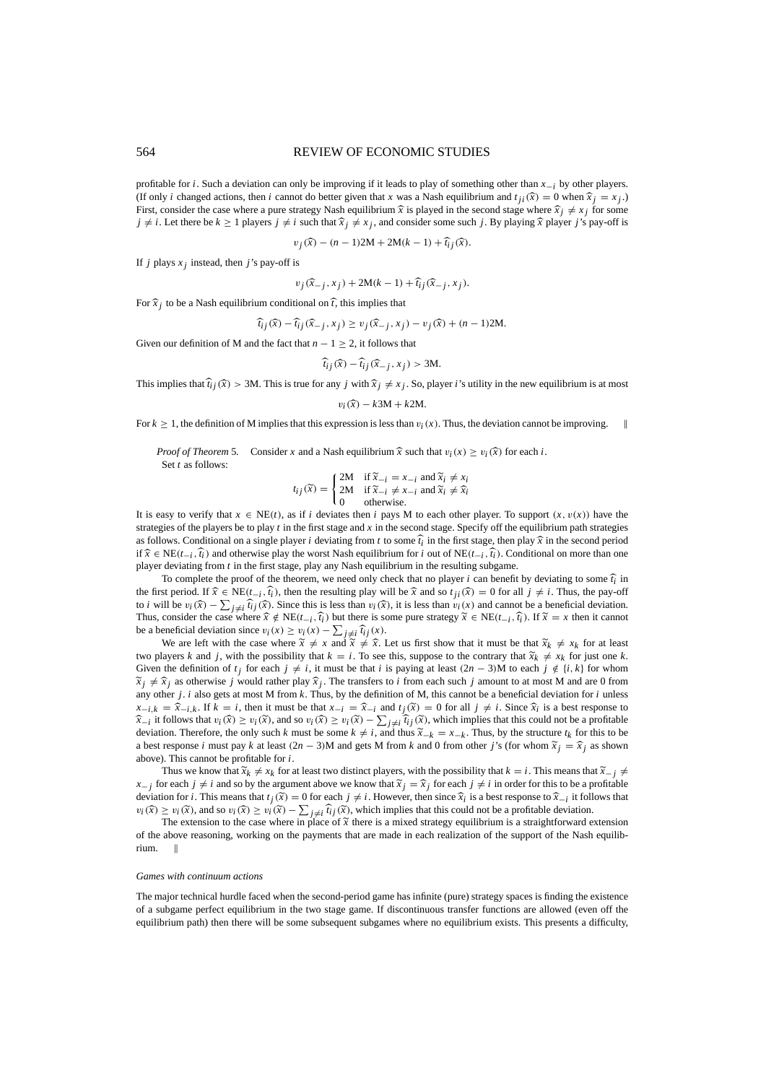profitable for *i*. Such a deviation can only be improving if it leads to play of something other than *x*−*i* by other players. (If only *i* changed actions, then *i* cannot do better given that *x* was a Nash equilibrium and  $t_{ji}(\hat{x}) = 0$  when  $\hat{x}_j = x_j$ .) First, consider the case where a pure strategy Nash equilibrium  $\hat{x}$  is played in the second stage where  $\hat{x}_j \neq x_j$  for some  $i \neq j$  and  $x_j \neq j$  and  $y_j \neq j$  and  $y_j \neq j$  for some  $j \neq j$  and  $j \neq j$  and  $j \neq j$  and  $j \neq i$ . Let there be  $k \geq 1$  players  $j \neq i$  such that  $\hat{x}_j \neq x_j$ , and consider some such *j*. By playing  $\hat{x}$  player *j*'s pay-off is

$$
v_j(\widehat{x}) - (n-1)2M + 2M(k-1) + \widehat{t}_{ij}(\widehat{x}).
$$

If *j* plays  $x_j$  instead, then *j*'s pay-off is

$$
v_j(\widehat{x}_{-j}, x_j) + 2\mathbf{M}(k-1) + \widehat{t}_{ij}(\widehat{x}_{-j}, x_j).
$$

For  $\widehat{x}_j$  to be a Nash equilibrium conditional on  $\widehat{t}$ , this implies that

$$
\widehat{t}_{ij}(\widehat{x}) - \widehat{t}_{ij}(\widehat{x}_{-j}, x_j) \ge v_j(\widehat{x}_{-j}, x_j) - v_j(\widehat{x}) + (n-1)2M.
$$

Given our definition of M and the fact that  $n - 1 \ge 2$ , it follows that

$$
\widehat{t}_{ij}(\widehat{x}) - \widehat{t}_{ij}(\widehat{x}_{-j}, x_j) > 3M.
$$

This implies that  $\hat{t}_{ij}(\hat{x}) > 3$ M. This is true for any *j* with  $\hat{x}_j \neq x_j$ . So, player *i*'s utility in the new equilibrium is at most

$$
v_i(\widehat{x}) - k3M + k2M.
$$

For  $k \geq 1$ , the definition of M implies that this expression is less than  $v_i(x)$ . Thus, the deviation cannot be improving.  $\|\cdot\|$ 

*Proof of Theorem* [5](#page-0-0). Consider *x* and a Nash equilibrium  $\hat{x}$  such that  $v_i(x) \ge v_i(\hat{x})$  for each *i*. Set *t* as follows:

$$
t_{ij}(\widetilde{x}) = \begin{cases} 2M & \text{if } \widetilde{x}_{-i} = x_{-i} \text{ and } \widetilde{x}_i \neq x_i \\ 2M & \text{if } \widetilde{x}_{-i} \neq x_{-i} \text{ and } \widetilde{x}_i \neq \widehat{x}_i \\ 0 & \text{otherwise.} \end{cases}
$$

It is easy to verify that  $x \in \text{NE}(t)$ , as if *i* deviates then *i* pays M to each other player. To support  $(x, v(x))$  have the strategies of the players be to play *t* in the first stage and *x* in the second stage. Specify off the equilibrium path strategies as follows. Conditional on a single player *i* deviating from *t* to some  $\hat{t}_t$  in the first stage, then play  $\hat{x}$  in the second period  $\hat{t} \hat{\alpha} \in \text{NE}(t - \hat{\alpha})$  and otherwise play the west Neab conjiting for *i* ou  $\text{if } \hat{x} \in \text{NE}(t_{-i}, \hat{t}_i)$  and otherwise play the worst Nash equilibrium for *i* out of NE( $t_{-i}, \hat{t}_i$ ). Conditional on more than one player deviating from *t* in the first stage, play any Nash equilibrium in the resulting subgame.

To complete the proof of the theorem, we need only check that no player *i* can benefit by deviating to some  $\hat{t}_i$  in the first period. If  $\hat{x} \in \text{NE}(t_{-i}, \hat{t}_i)$ , then the resulting play will be  $\hat{x}$  and so  $t_{ji}(\hat{x}) = 0$  for all *j* ≠ *i*. Thus, the pay-off to *i* will be  $y_i(\hat{x}) = \sum_{i} \hat{x}_i(\hat{x})$ . Since this is less than  $y_i(\hat{x})$  it to *i* will be  $v_i(\hat{x}) - \sum_{j \neq i} \hat{t}_{ij}(\hat{x})$ . Since this is less than  $v_i(\hat{x})$ , it is less than  $v_i(x)$  and cannot be a beneficial deviation. Thus, consider the case where  $\hat{x} \notin \text{NE}(t_{-i}, \hat{t}_i)$  but there is some pure strategy  $\tilde{x} \in \text{NE}(t_{-i}, \hat{t}_i)$ . If  $\tilde{x} = x$  then it cannot be a beneficial deviation since  $v_i(x) \ge v_i(x) - \sum_{j \neq i} \hat{t}_{ij}(x)$ .

We are left with the case where  $\tilde{x} \neq x$  and  $\tilde{x} \neq \tilde{x}$ . Let us first show that it must be that  $\tilde{x}_k \neq x_k$  for at least two players *k* and *j*, with the possibility that  $k = i$ . To see this, suppose to the contrary that  $\tilde{x}_k \neq x_k$  for just one *k*.<br>Given the definition of *t*, for each *i*,  $\neq$  *i*, it must be that *i* is positing at Given the definition of  $t_j$  for each  $j \neq i$ , it must be that *i* is paying at least  $(2n-3)M$  to each  $j \notin \{i, k\}$  for whom  $\widetilde{x}_j \neq \widehat{x}_j$  as otherwise *j* would rather play  $\widehat{x}_j$ . The transfers to *i* from each such *j* amount to at most M and are 0 from each such *j* and  $\widehat{x}_j$  as otherwise *j* would rather than *k*  $\widehat{x}_j$ . Thus, any other *j*. *i* also gets at most M from *k*. Thus, by the definition of M, this cannot be a beneficial deviation for *i* unless  $x_{-i,k} = \hat{x}_{-i,k}$ . If  $k = i$ , then it must be that  $x_{-i} = \hat{x}_{-i}$  and  $t_j(\tilde{x}) = 0$  for all  $j \neq i$ . Since  $\hat{x}_i$  is a best response to  $\hat{x}_i$  is the set of  $\hat{x}_i$  of  $\hat{x}_i$ .  $\hat{x}_{-i}$  it follows that  $v_i(\hat{x}) \ge v_i(\hat{x})$ , and so  $v_i(\hat{x}) \ge v_i(\hat{x}) - \sum_{j \neq i} \hat{t}_{ij}(\hat{x})$ , which implies that this could not be a profitable deviation. Therefore, the only such *k* must be some  $k \neq i$ , and thus  $\tilde{x}$ −*k* = *x*−*k*. Thus, by the structure *t<sub>k</sub>* for this to be a best response *i* must pay *k* at least  $(2n - 3)$ M and gets M from *k* and 0 from other *j*'s (for whom  $\tilde{x}_j = \hat{x}_j$  as shown above). This cannot be profitable for *i*.

Thus we know that  $\tilde{x}_k \neq x_k$  for at least two distinct players, with the possibility that  $k = i$ . This means that  $\tilde{x}_{-j} \neq$ *x*<sub>−</sub> *j* for each *j*  $\neq$  *i* and so by the argument above we know that  $\tilde{x}_j = \hat{x}_j$  for each *j*  $\neq$  *i* in order for this to be a profitable deviation for *i*. This means that  $\hat{i}$   $\hat{x}_j = 0$  for each *i*  $\hat{i$ deviation for *i*. This means that  $t_j(\tilde{x}) = 0$  for each  $j \neq i$ . However, then since  $\hat{x}_i$  is a best response to  $\hat{x}_{-i}$  it follows that  $\hat{y}_{-i}(\tilde{x}) = \hat{y}_{-i}(\tilde{x})$  which implies that this gould not be a profitabl  $v_i(\hat{x}) \ge v_i(\hat{x})$ , and so  $v_i(\hat{x}) \ge v_i(\hat{x}) - \sum_{j \neq i} \hat{t}_{ij}(\hat{x})$ , which implies that this could not be a profitable deviation.

The extension to the case where in place of  $\tilde{x}$  there is a mixed strategy equilibrium is a straightforward extension of the above reasoning, working on the payments that are made in each realization of the support of the Nash equilibrium. II

#### *Games with continuum actions*

The major technical hurdle faced when the second-period game has infinite (pure) strategy spaces is finding the existence of a subgame perfect equilibrium in the two stage game. If discontinuous transfer functions are allowed (even off the equilibrium path) then there will be some subsequent subgames where no equilibrium exists. This presents a difficulty,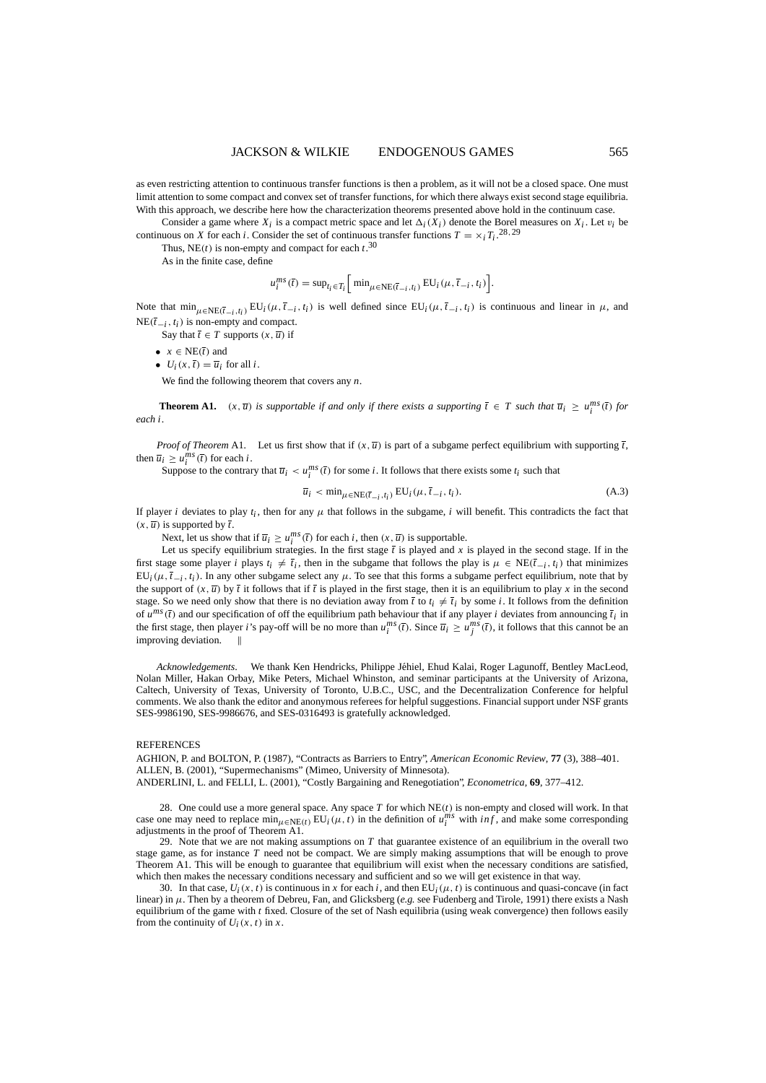as even restricting attention to continuous transfer functions is then a problem, as it will not be a closed space. One must limit attention to some compact and convex set of transfer functions, for which there always exist second stage equilibria. With this approach, we describe here how the characterization theorems presented above hold in the continuum case.

Consider a game where  $X_i$  is a compact metric space and let  $\Delta_i(X_i)$  denote the Borel measures on  $X_i$ . Let  $v_i$  be continuous on *X* for each *i*. Consider the set of continuous transfer functions  $T = \times_i T_i$ .<sup>[28](#page-22-4),[29](#page-22-5)</sup>

Thus,  $NE(t)$  is non-empty and compact for each  $t$ .<sup>[30](#page-22-6)</sup>

As in the finite case, define

$$
u_i^{ms}(\bar{t}) = \sup_{t_i \in T_i} \left[ \min_{\mu \in \text{NE}(\bar{t}_{-i}, t_i)} \text{EU}_i(\mu, \bar{t}_{-i}, t_i) \right].
$$

Note that  $\min_{\mu \in \text{NE}(\bar{t}_{-i}, t_i)} \text{EU}_i(\mu, \bar{t}_{-i}, t_i)$  is well defined since  $\text{EU}_i(\mu, \bar{t}_{-i}, t_i)$  is continuous and linear in  $\mu$ , and  $NE(\bar{t}_{-i}, t_i)$  is non-empty and compact.

Say that  $\bar{t} \in T$  supports  $(x, \bar{u})$  if

•  $x \in \text{NE}(\overline{t})$  and

•  $U_i(x, \overline{t}) = \overline{u}_i$  for all *i*.

We find the following theorem that covers any *n*.

**Theorem A1.**  $(x, \bar{u})$  *is supportable if and only if there exists a supporting*  $\bar{t} \in T$  *such that*  $\bar{u}_i \ge u_i^{ms}(\bar{t})$  *for each i.*

*Proof of Theorem* [A1](#page-0-0). Let us first show that if  $(x, \bar{u})$  is part of a subgame perfect equilibrium with supporting  $\bar{t}$ , then  $\overline{u}_i \geq u_i^{ms}(\overline{t})$  for each *i*.

Suppose to the contrary that  $\overline{u}_i < u_i^{ms}(\overline{t})$  for some *i*. It follows that there exists some  $t_i$  such that

<span id="page-22-0"></span>
$$
\overline{u}_i < \min_{\mu \in \text{NE}(\overline{t}_{-i}, t_i)} \text{EU}_i(\mu, \overline{t}_{-i}, t_i). \tag{A.3}
$$

If player *i* deviates to play  $t_i$ , then for any  $\mu$  that follows in the subgame, *i* will benefit. This contradicts the fact that  $(x, \overline{u})$  is supported by  $\overline{t}$ .

Next, let us show that if  $\overline{u}_i \ge u_i^{ms}(\overline{t})$  for each *i*, then  $(x, \overline{u})$  is supportable.

Let us specify equilibrium strategies. In the first stage  $\bar{t}$  is played and  $x$  is played in the second stage. If in the first stage some player *i* plays  $t_i \neq \overline{t}_i$ , then in the subgame that follows the play is  $\mu \in \text{NE}(\overline{t}_i, t_i)$  that minimizes  $EU_i(\mu, \bar{t}_{-i}, t_i)$ . In any other subgame select any  $\mu$ . To see that this forms a subgame perfect equilibrium, note that by the support of  $(x, \bar{u})$  by  $\bar{t}$  it follows that if  $\bar{t}$  is played in the first stage, then it is an equilibrium to play x in the second stage. So we need only show that there is no deviation away from  $\overline{t}$  to  $t_i \neq \overline{t}_i$  by some *i*. It follows from the definition of  $u^{ms}(\bar{t})$  and our specification of off the equilibrium path behaviour that if any player *i* deviates from announcing  $\bar{t}_i$  in the first stage, then player *i*'s pay-off will be no more than  $u_i^{ms}(\bar{t})$ . Since  $\bar{u}_i \ge u_j^{ms}(\bar{t})$ , it follows that this cannot be an improving deviation.  $\|$ 

*Acknowledgements*. We thank Ken Hendricks, Philippe Jehiel, Ehud Kalai, Roger Lagunoff, Bentley MacLeod, ´ Nolan Miller, Hakan Orbay, Mike Peters, Michael Whinston, and seminar participants at the University of Arizona, Caltech, University of Texas, University of Toronto, U.B.C., USC, and the Decentralization Conference for helpful comments. We also thank the editor and anonymous referees for helpful suggestions. Financial support under NSF grants SES-9986190, SES-9986676, and SES-0316493 is gratefully acknowledged.

#### **REFERENCES**

<span id="page-22-3"></span><span id="page-22-2"></span>AGHION, P. and BOLTON, P. (1987), "Contracts as Barriers to Entry", *American Economic Review*, **77** (3), 388–401. ALLEN, B. (2001), "Supermechanisms" (Mimeo, University of Minnesota). ANDERLINI, L. and FELLI, L. (2001), "Costly Bargaining and Renegotiation", *Econometrica*, **69**, 377–412.

<span id="page-22-4"></span><span id="page-22-1"></span>28. One could use a more general space. Any space *T* for which NE(*t*) is non-empty and closed will work. In that case one may need to replace  $\min_{\mu \in \text{NE}(t)}$   $EU_i(\mu, t)$  in the definition of  $u_i^{ms}$  with  $inf$ , and make some corresponding adjustments in the proof of Theorem [A1.](#page-0-0)

<span id="page-22-5"></span>29. Note that we are not making assumptions on *T* that guarantee existence of an equilibrium in the overall two stage game, as for instance *T* need not be compact. We are simply making assumptions that will be enough to prove Theorem [A1.](#page-0-0) This will be enough to guarantee that equilibrium will exist when the necessary conditions are satisfied, which then makes the necessary conditions necessary and sufficient and so we will get existence in that way.

<span id="page-22-6"></span>30. In that case,  $U_i(x, t)$  is continuous in *x* for each *i*, and then  $EU_i(\mu, t)$  is continuous and quasi-concave (in fact linear) in  $\mu$ . Then by a theorem of Debreu, Fan, and Glicksberg (*e.g.* see [Fudenberg and Tirole,](#page-23-32) [1991\)](#page-23-32) there exists a Nash equilibrium of the game with *t* fixed. Closure of the set of Nash equilibria (using weak convergence) then follows easily from the continuity of  $U_i(x, t)$  in *x*.